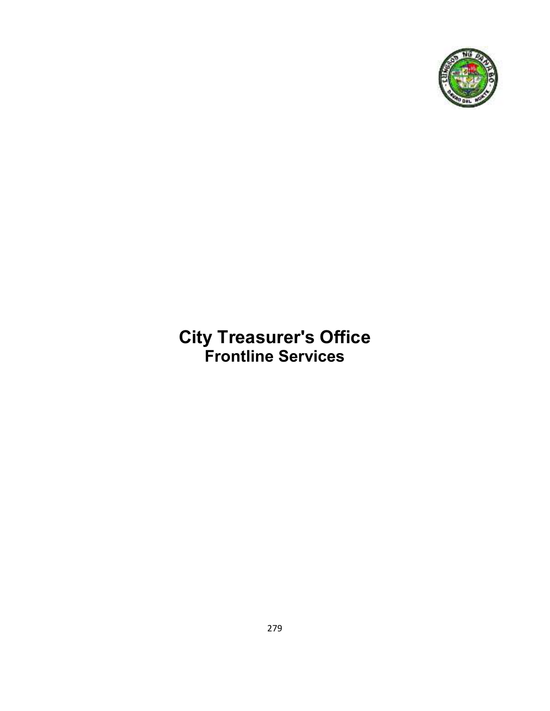

# **City Treasurer's Office Frontline Services**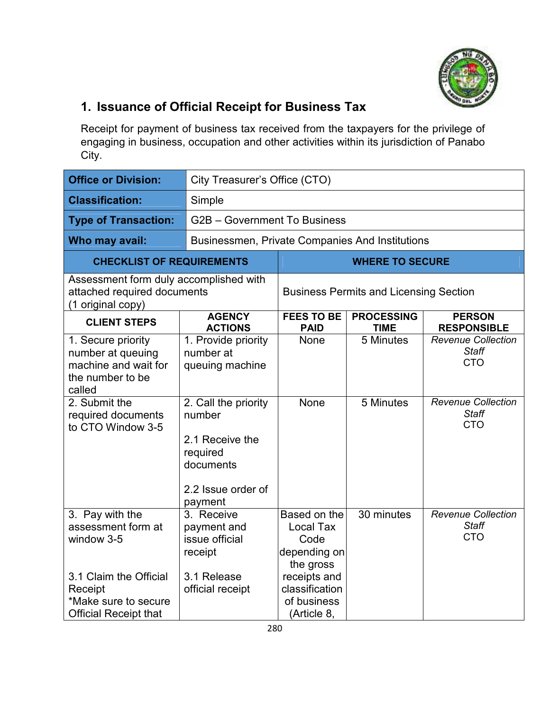

## **1. Issuance of Official Receipt for Business Tax**

Receipt for payment of business tax received from the taxpayers for the privilege of engaging in business, occupation and other activities within its jurisdiction of Panabo City.

| <b>Office or Division:</b>                                                                                                                                | City Treasurer's Office (CTO)                                                                            |                                                                                       |                                               |                                                                                                                    |  |
|-----------------------------------------------------------------------------------------------------------------------------------------------------------|----------------------------------------------------------------------------------------------------------|---------------------------------------------------------------------------------------|-----------------------------------------------|--------------------------------------------------------------------------------------------------------------------|--|
| <b>Classification:</b>                                                                                                                                    | Simple                                                                                                   |                                                                                       |                                               |                                                                                                                    |  |
| <b>Type of Transaction:</b>                                                                                                                               | G2B - Government To Business                                                                             |                                                                                       |                                               |                                                                                                                    |  |
| Who may avail:                                                                                                                                            |                                                                                                          | Businessmen, Private Companies And Institutions                                       |                                               |                                                                                                                    |  |
| <b>CHECKLIST OF REQUIREMENTS</b>                                                                                                                          |                                                                                                          |                                                                                       | <b>WHERE TO SECURE</b>                        |                                                                                                                    |  |
| Assessment form duly accomplished with<br>attached required documents<br>(1 original copy)                                                                |                                                                                                          |                                                                                       | <b>Business Permits and Licensing Section</b> |                                                                                                                    |  |
| <b>CLIENT STEPS</b>                                                                                                                                       | <b>AGENCY</b><br><b>ACTIONS</b>                                                                          | <b>FEES TO BE</b><br><b>PAID</b>                                                      | <b>PROCESSING</b><br><b>TIME</b>              | <b>PERSON</b><br><b>RESPONSIBLE</b>                                                                                |  |
| 1. Secure priority<br>number at queuing<br>machine and wait for<br>the number to be<br>called<br>2. Submit the<br>required documents<br>to CTO Window 3-5 | 1. Provide priority<br>number at<br>queuing machine<br>2. Call the priority<br>number<br>2.1 Receive the | None<br>None                                                                          | 5 Minutes<br>5 Minutes                        | <b>Revenue Collection</b><br><b>Staff</b><br><b>CTO</b><br><b>Revenue Collection</b><br><b>Staff</b><br><b>CTO</b> |  |
|                                                                                                                                                           | required<br>documents<br>2.2 Issue order of<br>payment                                                   |                                                                                       |                                               |                                                                                                                    |  |
| 3. Pay with the<br>assessment form at<br>window 3-5<br>3.1 Claim the Official                                                                             | 3. Receive<br>payment and<br>issue official<br>receipt<br>3.1 Release                                    | Based on the<br><b>Local Tax</b><br>Code<br>depending on<br>the gross<br>receipts and | 30 minutes                                    | <b>Revenue Collection</b><br><b>Staff</b><br><b>CTO</b>                                                            |  |
| Receipt<br>*Make sure to secure<br><b>Official Receipt that</b>                                                                                           | official receipt                                                                                         | classification<br>of business<br>(Article 8,                                          |                                               |                                                                                                                    |  |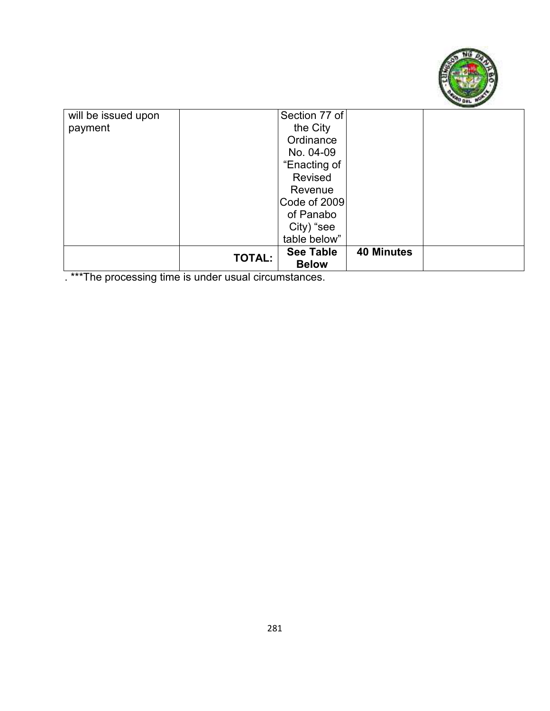

| will be issued upon | Section 77 of                     |                   |  |
|---------------------|-----------------------------------|-------------------|--|
| payment             | the City                          |                   |  |
|                     | Ordinance                         |                   |  |
|                     | No. 04-09                         |                   |  |
|                     | "Enacting of                      |                   |  |
|                     | Revised                           |                   |  |
|                     | Revenue                           |                   |  |
|                     | Code of 2009                      |                   |  |
|                     | of Panabo                         |                   |  |
|                     | City) "see                        |                   |  |
|                     | table below"                      |                   |  |
|                     | <b>See Table</b><br><b>TOTAL:</b> | <b>40 Minutes</b> |  |
|                     | <b>Below</b>                      |                   |  |

. \*\*\*The processing time is under usual circumstances.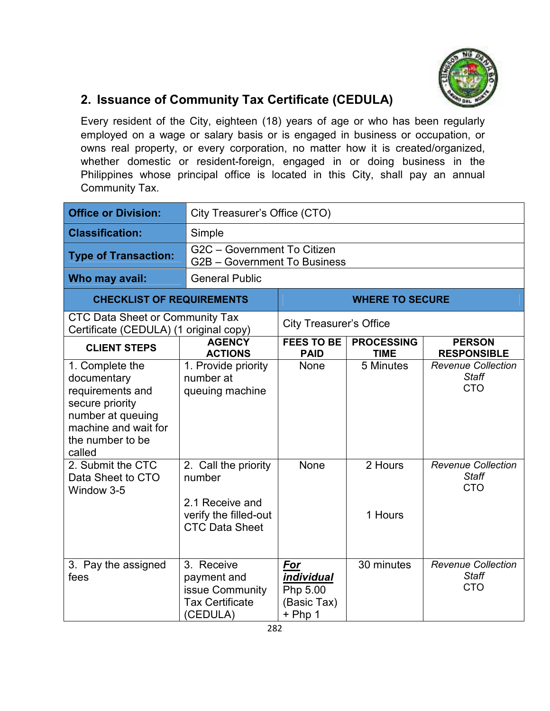

#### **2. Issuance of Community Tax Certificate (CEDULA)**

Every resident of the City, eighteen (18) years of age or who has been regularly employed on a wage or salary basis or is engaged in business or occupation, or owns real property, or every corporation, no matter how it is created/organized, whether domestic or resident-foreign, engaged in or doing business in the Philippines whose principal office is located in this City, shall pay an annual Community Tax.

| <b>Office or Division:</b>                                                                                                                       |                                                                                                     | City Treasurer's Office (CTO)                             |                                  |                                                         |  |
|--------------------------------------------------------------------------------------------------------------------------------------------------|-----------------------------------------------------------------------------------------------------|-----------------------------------------------------------|----------------------------------|---------------------------------------------------------|--|
| <b>Classification:</b>                                                                                                                           | Simple                                                                                              |                                                           |                                  |                                                         |  |
| <b>Type of Transaction:</b>                                                                                                                      | G2C - Government To Citizen<br>G2B - Government To Business                                         |                                                           |                                  |                                                         |  |
| Who may avail:                                                                                                                                   | <b>General Public</b>                                                                               |                                                           |                                  |                                                         |  |
| <b>CHECKLIST OF REQUIREMENTS</b>                                                                                                                 |                                                                                                     |                                                           | <b>WHERE TO SECURE</b>           |                                                         |  |
| <b>CTC Data Sheet or Community Tax</b><br>Certificate (CEDULA) (1 original copy)                                                                 |                                                                                                     | <b>City Treasurer's Office</b>                            |                                  |                                                         |  |
| <b>CLIENT STEPS</b>                                                                                                                              | <b>AGENCY</b><br><b>ACTIONS</b>                                                                     | <b>FEES TO BE</b><br><b>PAID</b>                          | <b>PROCESSING</b><br><b>TIME</b> | <b>PERSON</b><br><b>RESPONSIBLE</b>                     |  |
| 1. Complete the<br>documentary<br>requirements and<br>secure priority<br>number at queuing<br>machine and wait for<br>the number to be<br>called | 1. Provide priority<br>number at<br>queuing machine                                                 | None                                                      | 5 Minutes                        | <b>Revenue Collection</b><br><b>Staff</b><br><b>CTO</b> |  |
| 2. Submit the CTC<br>Data Sheet to CTO<br>Window 3-5                                                                                             | 2. Call the priority<br>number<br>2.1 Receive and<br>verify the filled-out<br><b>CTC Data Sheet</b> | None                                                      | 2 Hours<br>1 Hours               | <b>Revenue Collection</b><br><b>Staff</b><br><b>CTO</b> |  |
| 3. Pay the assigned<br>fees                                                                                                                      | 3. Receive<br>payment and<br>issue Community<br><b>Tax Certificate</b><br>(CEDULA)                  | For<br>individual<br>Php 5.00<br>(Basic Tax)<br>$+$ Php 1 | 30 minutes                       | <b>Revenue Collection</b><br><b>Staff</b><br><b>CTO</b> |  |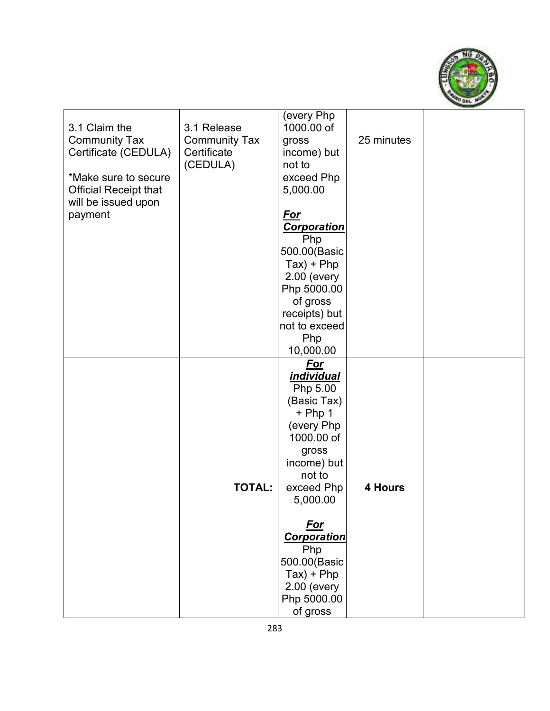

| 3.1 Claim the<br><b>Community Tax</b><br>Certificate (CEDULA)<br>*Make sure to secure<br><b>Official Receipt that</b><br>will be issued upon<br>payment | 3.1 Release<br><b>Community Tax</b><br>Certificate<br>(CEDULA) | (every Php<br>1000.00 of<br>gross<br>income) but<br>not to<br>exceed Php<br>5,000.00<br><u>For</u><br><b>Corporation</b><br>Php<br>500.00(Basic<br>$Tax) + Php$<br>2.00 (every<br>Php 5000.00<br>of gross<br>receipts) but<br>not to exceed<br>Php<br>10,000.00               | 25 minutes |  |
|---------------------------------------------------------------------------------------------------------------------------------------------------------|----------------------------------------------------------------|-------------------------------------------------------------------------------------------------------------------------------------------------------------------------------------------------------------------------------------------------------------------------------|------------|--|
|                                                                                                                                                         | <b>TOTAL:</b>                                                  | For<br><i>individual</i><br>Php 5.00<br>(Basic Tax)<br>$+$ Php 1<br>(every Php<br>1000.00 of<br>gross<br>income) but<br>not to<br>exceed Php<br>5,000.00<br><u>For</u><br><b>Corporation</b><br>Php<br>500.00(Basic<br>$Tax) + Php$<br>2.00 (every<br>Php 5000.00<br>of gross | 4 Hours    |  |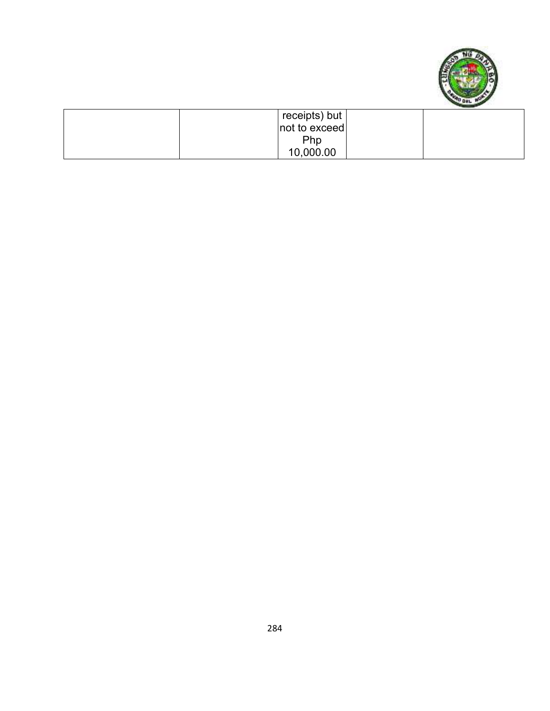

| $\frac{1}{2}$ receipts) but |  |
|-----------------------------|--|
| not to exceed               |  |
| Php                         |  |
| 10,000.00                   |  |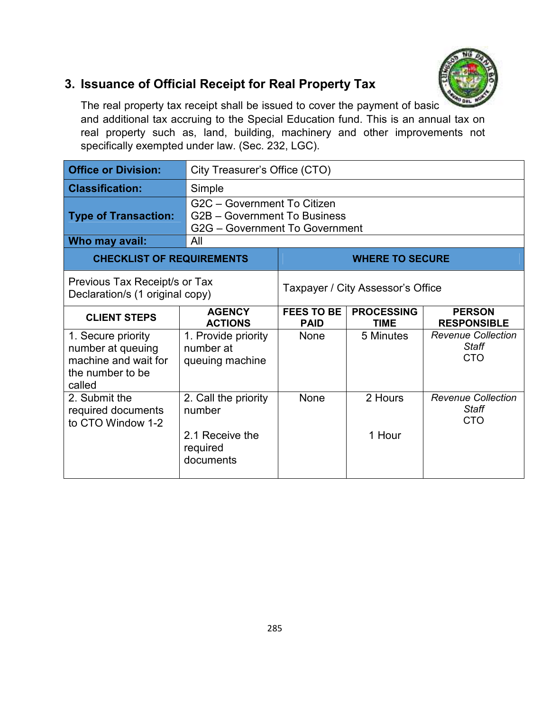

#### **3. Issuance of Official Receipt for Real Property Tax**

The real property tax receipt shall be issued to cover the payment of basic and additional tax accruing to the Special Education fund. This is an annual tax on real property such as, land, building, machinery and other improvements not specifically exempted under law. (Sec. 232, LGC).

| <b>Office or Division:</b>                                                                    |                                                                                               | City Treasurer's Office (CTO)                                                                               |                        |                                                         |  |
|-----------------------------------------------------------------------------------------------|-----------------------------------------------------------------------------------------------|-------------------------------------------------------------------------------------------------------------|------------------------|---------------------------------------------------------|--|
| <b>Classification:</b>                                                                        | Simple                                                                                        |                                                                                                             |                        |                                                         |  |
| <b>Type of Transaction:</b>                                                                   | G2C - Government To Citizen<br>G2B - Government To Business<br>G2G - Government To Government |                                                                                                             |                        |                                                         |  |
| Who may avail:                                                                                | All                                                                                           |                                                                                                             |                        |                                                         |  |
| <b>CHECKLIST OF REQUIREMENTS</b>                                                              |                                                                                               |                                                                                                             | <b>WHERE TO SECURE</b> |                                                         |  |
| Previous Tax Receipt/s or Tax<br>Declaration/s (1 original copy)                              |                                                                                               | Taxpayer / City Assessor's Office                                                                           |                        |                                                         |  |
| <b>CLIENT STEPS</b>                                                                           | <b>AGENCY</b><br><b>ACTIONS</b>                                                               | <b>FEES TO BE</b><br><b>PROCESSING</b><br><b>PERSON</b><br><b>RESPONSIBLE</b><br><b>PAID</b><br><b>TIME</b> |                        |                                                         |  |
| 1. Secure priority<br>number at queuing<br>machine and wait for<br>the number to be<br>called | 1. Provide priority<br>number at<br>queuing machine                                           | None                                                                                                        | 5 Minutes              | <b>Revenue Collection</b><br><b>Staff</b><br><b>CTO</b> |  |
| 2. Submit the<br>required documents<br>to CTO Window 1-2                                      | 2. Call the priority<br>number<br>2.1 Receive the<br>required<br>documents                    | None                                                                                                        | 2 Hours<br>1 Hour      | <b>Revenue Collection</b><br>Staff<br><b>CTO</b>        |  |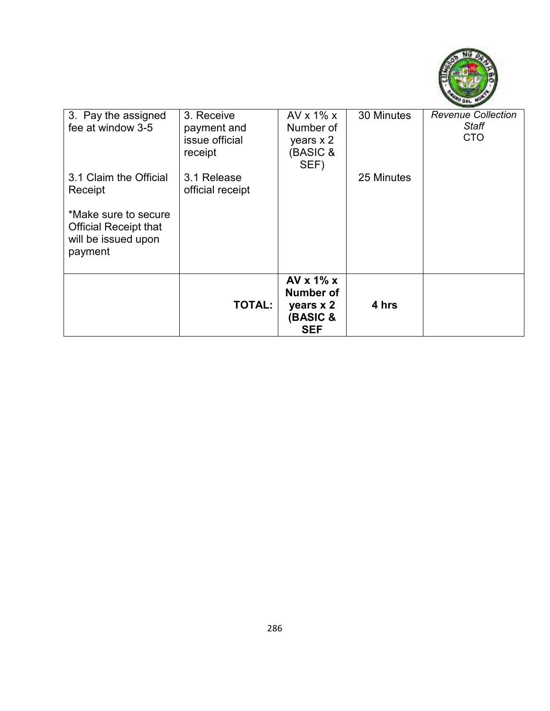

| 3. Pay the assigned<br>fee at window 3-5                                               | 3. Receive<br>payment and<br>issue official<br>receipt | AVx 1%x<br>Number of<br>years $x$ 2<br>(BASIC &<br>SEF)                      | 30 Minutes | <b>Revenue Collection</b><br>Staff<br><b>CTO</b> |
|----------------------------------------------------------------------------------------|--------------------------------------------------------|------------------------------------------------------------------------------|------------|--------------------------------------------------|
| 3.1 Claim the Official<br>Receipt                                                      | 3.1 Release<br>official receipt                        |                                                                              | 25 Minutes |                                                  |
| *Make sure to secure<br><b>Official Receipt that</b><br>will be issued upon<br>payment |                                                        |                                                                              |            |                                                  |
|                                                                                        | <b>TOTAL:</b>                                          | AV $x$ 1% $x$<br>Number of<br>years x 2<br><b>(BASIC &amp;</b><br><b>SEF</b> | 4 hrs      |                                                  |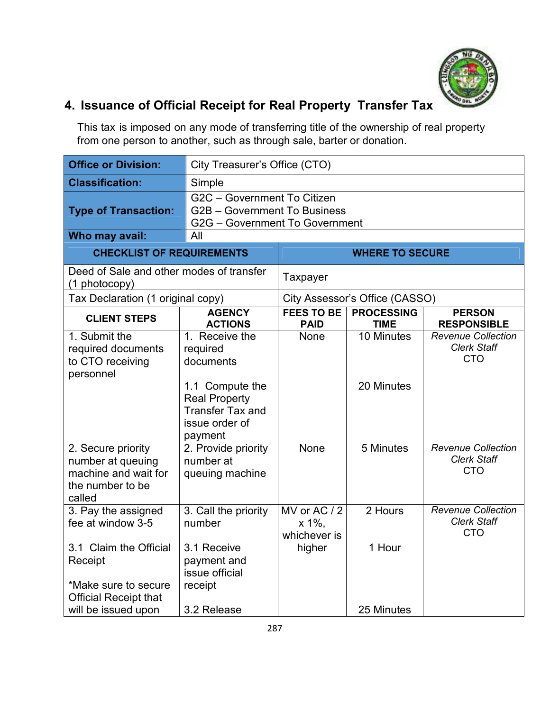

# **4. Issuance of Official Receipt for Real Property Transfer Tax**

This tax is imposed on any mode of transferring title of the ownership of real property from one person to another, such as through sale, barter or donation.

| <b>Office or Division:</b>                                                                    | City Treasurer's Office (CTO)                                                                   |                                       |                                  |                                                               |
|-----------------------------------------------------------------------------------------------|-------------------------------------------------------------------------------------------------|---------------------------------------|----------------------------------|---------------------------------------------------------------|
| <b>Classification:</b>                                                                        | Simple                                                                                          |                                       |                                  |                                                               |
| <b>Type of Transaction:</b>                                                                   | G2C - Government To Citizen<br>G2B - Government To Business<br>G2G - Government To Government   |                                       |                                  |                                                               |
| Who may avail:                                                                                | All                                                                                             |                                       |                                  |                                                               |
| <b>CHECKLIST OF REQUIREMENTS</b>                                                              |                                                                                                 |                                       | <b>WHERE TO SECURE</b>           |                                                               |
| Deed of Sale and other modes of transfer<br>(1 photocopy)                                     |                                                                                                 | Taxpayer                              |                                  |                                                               |
| Tax Declaration (1 original copy)                                                             |                                                                                                 |                                       | City Assessor's Office (CASSO)   |                                                               |
| <b>CLIENT STEPS</b>                                                                           | <b>AGENCY</b><br><b>ACTIONS</b>                                                                 | <b>FEES TO BE</b><br><b>PAID</b>      | <b>PROCESSING</b><br><b>TIME</b> | <b>PERSON</b><br><b>RESPONSIBLE</b>                           |
| 1. Submit the<br>required documents<br>to CTO receiving<br>personnel                          | 1. Receive the<br>required<br>documents                                                         | None                                  | 10 Minutes                       | <b>Revenue Collection</b><br><b>Clerk Staff</b><br><b>CTO</b> |
|                                                                                               | 1.1 Compute the<br><b>Real Property</b><br><b>Transfer Tax and</b><br>issue order of<br>payment |                                       | 20 Minutes                       |                                                               |
| 2. Secure priority<br>number at queuing<br>machine and wait for<br>the number to be<br>called | 2. Provide priority<br>number at<br>queuing machine                                             | None                                  | 5 Minutes                        | <b>Revenue Collection</b><br><b>Clerk Staff</b><br><b>CTO</b> |
| 3. Pay the assigned<br>fee at window 3-5                                                      | 3. Call the priority<br>number                                                                  | MV or AC / 2<br>x 1%,<br>whichever is | 2 Hours                          | <b>Revenue Collection</b><br><b>Clerk Staff</b><br><b>CTO</b> |
| 3.1 Claim the Official<br>Receipt<br>*Make sure to secure                                     | 3.1 Receive<br>payment and<br>issue official<br>receipt                                         | higher                                | 1 Hour                           |                                                               |
| <b>Official Receipt that</b><br>will be issued upon                                           | 3.2 Release                                                                                     |                                       | 25 Minutes                       |                                                               |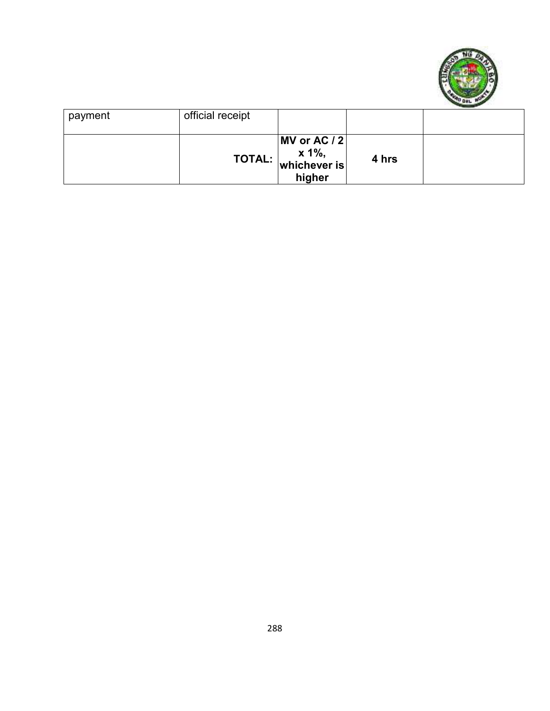

| payment | official receipt |                                                                                                                  |       |  |
|---------|------------------|------------------------------------------------------------------------------------------------------------------|-------|--|
|         |                  | $\vert$ MV or AC / 2 $\vert$<br>TOTAL: $\begin{vmatrix} x & 1\% , \ \text{whichever is} \end{vmatrix}$<br>higher | 4 hrs |  |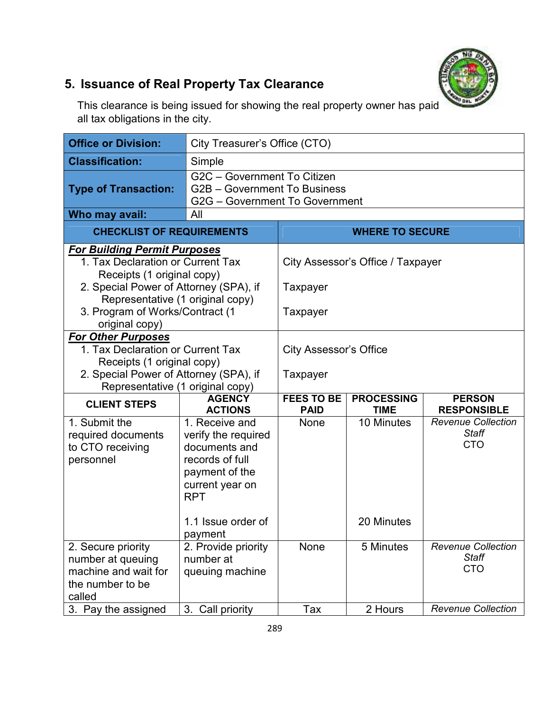## **5. Issuance of Real Property Tax Clearance**

This clearance is being issued for showing the real property owner has paid all tax obligations in the city.

| <b>Office or Division:</b>                                                                               | City Treasurer's Office (CTO)                                                                                                |                                  |                                   |                                                         |
|----------------------------------------------------------------------------------------------------------|------------------------------------------------------------------------------------------------------------------------------|----------------------------------|-----------------------------------|---------------------------------------------------------|
| <b>Classification:</b>                                                                                   | Simple                                                                                                                       |                                  |                                   |                                                         |
| <b>Type of Transaction:</b>                                                                              | G2C - Government To Citizen<br>G2B - Government To Business<br>G2G - Government To Government<br>All                         |                                  |                                   |                                                         |
| Who may avail:                                                                                           |                                                                                                                              |                                  |                                   |                                                         |
| <b>CHECKLIST OF REQUIREMENTS</b>                                                                         |                                                                                                                              |                                  | <b>WHERE TO SECURE</b>            |                                                         |
| <b>For Building Permit Purposes</b><br>1. Tax Declaration or Current Tax<br>Receipts (1 original copy)   |                                                                                                                              |                                  | City Assessor's Office / Taxpayer |                                                         |
| 2. Special Power of Attorney (SPA), if                                                                   |                                                                                                                              | Taxpayer                         |                                   |                                                         |
| Representative (1 original copy)<br>3. Program of Works/Contract (1<br>original copy)                    |                                                                                                                              | Taxpayer                         |                                   |                                                         |
| <b>For Other Purposes</b>                                                                                |                                                                                                                              |                                  |                                   |                                                         |
| 1. Tax Declaration or Current Tax                                                                        |                                                                                                                              | <b>City Assessor's Office</b>    |                                   |                                                         |
| Receipts (1 original copy)<br>2. Special Power of Attorney (SPA), if<br>Representative (1 original copy) |                                                                                                                              | Taxpayer                         |                                   |                                                         |
| <b>CLIENT STEPS</b>                                                                                      | <b>AGENCY</b><br><b>ACTIONS</b>                                                                                              | <b>FEES TO BE</b><br><b>PAID</b> | <b>PROCESSING</b><br><b>TIME</b>  | <b>PERSON</b><br><b>RESPONSIBLE</b>                     |
| 1. Submit the<br>required documents<br>to CTO receiving<br>personnel                                     | 1. Receive and<br>verify the required<br>documents and<br>records of full<br>payment of the<br>current year on<br><b>RPT</b> | None                             | 10 Minutes                        | <b>Revenue Collection</b><br><b>Staff</b><br><b>CTO</b> |
|                                                                                                          | 1.1 Issue order of<br>payment                                                                                                |                                  | 20 Minutes                        |                                                         |
| 2. Secure priority<br>number at queuing<br>machine and wait for<br>the number to be<br>called            | 2. Provide priority<br>number at<br>queuing machine                                                                          | None                             | 5 Minutes                         | <b>Revenue Collection</b><br><b>Staff</b><br><b>CTO</b> |
| 3. Pay the assigned                                                                                      | 3. Call priority                                                                                                             | Tax                              | 2 Hours                           | <b>Revenue Collection</b>                               |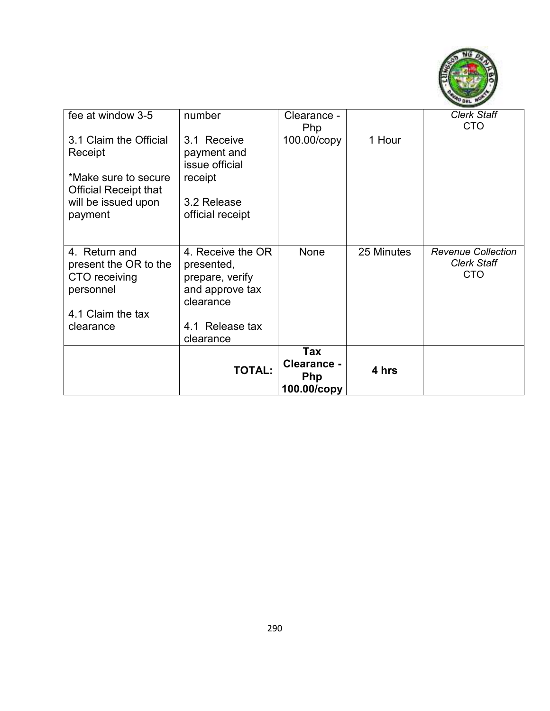

| fee at window 3-5                                                                                                           | number                                                                                                             | Clearance -<br>Php                              |            | <b>Clerk Staff</b><br><b>CTO</b>                              |
|-----------------------------------------------------------------------------------------------------------------------------|--------------------------------------------------------------------------------------------------------------------|-------------------------------------------------|------------|---------------------------------------------------------------|
| 3.1 Claim the Official<br>Receipt<br>*Make sure to secure<br><b>Official Receipt that</b><br>will be issued upon<br>payment | 3.1 Receive<br>payment and<br>issue official<br>receipt<br>3.2 Release<br>official receipt                         | 100.00/copy                                     | 1 Hour     |                                                               |
| 4. Return and<br>present the OR to the<br>CTO receiving<br>personnel<br>4.1 Claim the tax<br>clearance                      | 4. Receive the OR<br>presented,<br>prepare, verify<br>and approve tax<br>clearance<br>4.1 Release tax<br>clearance | None                                            | 25 Minutes | <b>Revenue Collection</b><br><b>Clerk Staff</b><br><b>CTO</b> |
|                                                                                                                             | <b>TOTAL:</b>                                                                                                      | Tax<br>Clearance -<br><b>Php</b><br>100.00/copy | 4 hrs      |                                                               |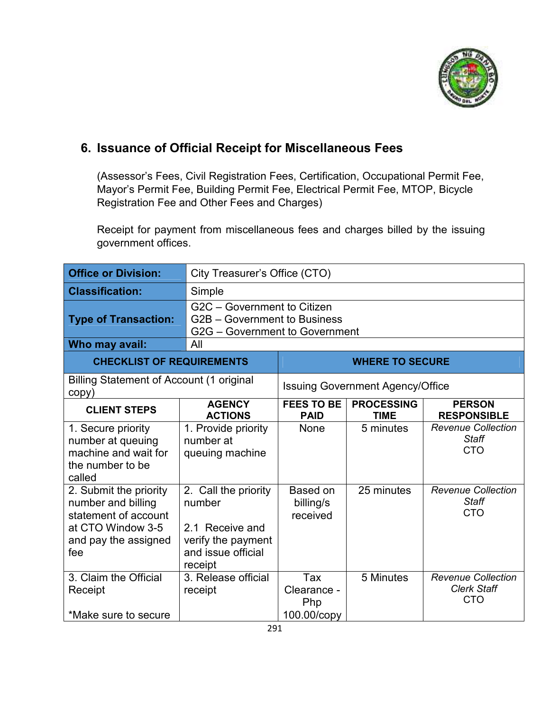

#### **6. Issuance of Official Receipt for Miscellaneous Fees**

(Assessor's Fees, Civil Registration Fees, Certification, Occupational Permit Fee, Mayor's Permit Fee, Building Permit Fee, Electrical Permit Fee, MTOP, Bicycle Registration Fee and Other Fees and Charges)

Receipt for payment from miscellaneous fees and charges billed by the issuing government offices.

| <b>Office or Division:</b>                                                                                               |                                                                                                          | City Treasurer's Office (CTO)                                                                               |                                         |                                                               |  |
|--------------------------------------------------------------------------------------------------------------------------|----------------------------------------------------------------------------------------------------------|-------------------------------------------------------------------------------------------------------------|-----------------------------------------|---------------------------------------------------------------|--|
| <b>Classification:</b>                                                                                                   | Simple                                                                                                   |                                                                                                             |                                         |                                                               |  |
| <b>Type of Transaction:</b>                                                                                              | G2C - Government to Citizen<br>G2B - Government to Business<br>G2G - Government to Government            |                                                                                                             |                                         |                                                               |  |
| Who may avail:                                                                                                           | All                                                                                                      |                                                                                                             |                                         |                                                               |  |
| <b>CHECKLIST OF REQUIREMENTS</b>                                                                                         |                                                                                                          | <b>WHERE TO SECURE</b>                                                                                      |                                         |                                                               |  |
| <b>Billing Statement of Account (1 original</b><br>copy)                                                                 |                                                                                                          |                                                                                                             | <b>Issuing Government Agency/Office</b> |                                                               |  |
| <b>CLIENT STEPS</b>                                                                                                      | <b>AGENCY</b><br><b>ACTIONS</b>                                                                          | <b>FEES TO BE</b><br><b>PROCESSING</b><br><b>PERSON</b><br><b>PAID</b><br><b>TIME</b><br><b>RESPONSIBLE</b> |                                         |                                                               |  |
| 1. Secure priority<br>number at queuing<br>machine and wait for<br>the number to be<br>called                            | 1. Provide priority<br>number at<br>queuing machine                                                      | None                                                                                                        | 5 minutes                               | <b>Revenue Collection</b><br><b>Staff</b><br><b>CTO</b>       |  |
| 2. Submit the priority<br>number and billing<br>statement of account<br>at CTO Window 3-5<br>and pay the assigned<br>fee | 2. Call the priority<br>number<br>2.1 Receive and<br>verify the payment<br>and issue official<br>receipt | Based on<br>billing/s<br>received                                                                           | 25 minutes                              | <b>Revenue Collection</b><br><b>Staff</b><br><b>CTO</b>       |  |
| 3. Claim the Official<br>Receipt<br>*Make sure to secure                                                                 | 3. Release official<br>receipt                                                                           | Tax<br>Clearance -<br>Php<br>100.00/copy                                                                    | 5 Minutes                               | <b>Revenue Collection</b><br><b>Clerk Staff</b><br><b>CTO</b> |  |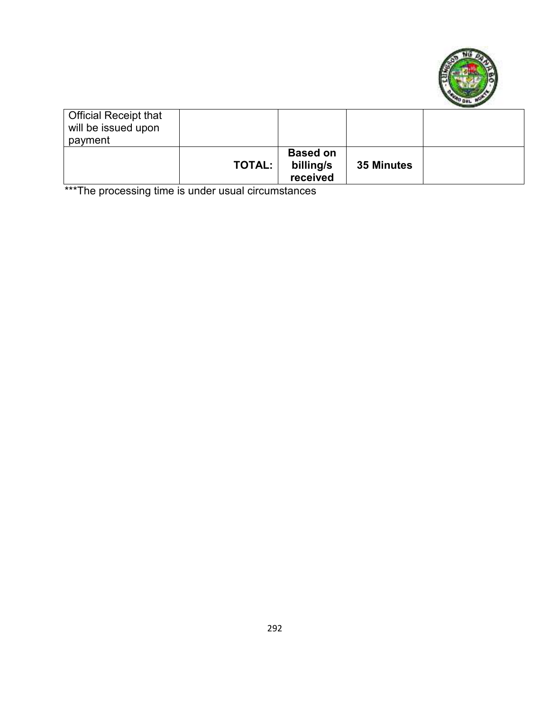

| <b>Official Receipt that</b><br>will be issued upon |               |                                          |            |  |
|-----------------------------------------------------|---------------|------------------------------------------|------------|--|
| payment                                             |               |                                          |            |  |
|                                                     | <b>TOTAL:</b> | <b>Based on</b><br>billing/s<br>received | 35 Minutes |  |

\*\*\*The processing time is under usual circumstances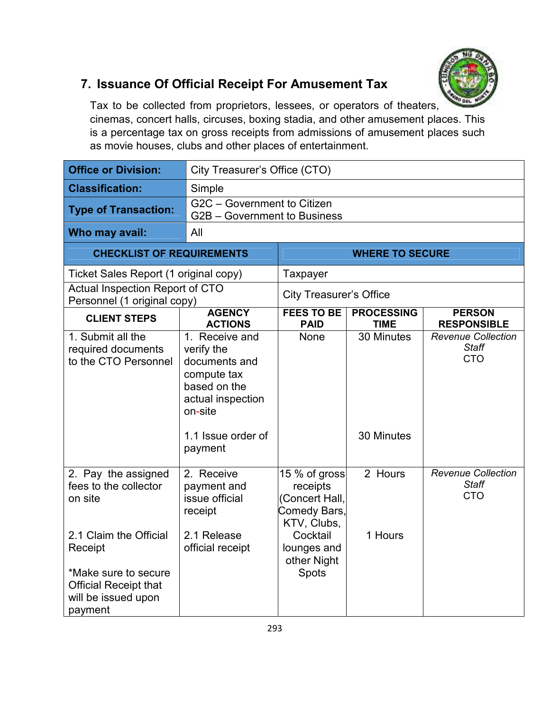

#### **7. Issuance Of Official Receipt For Amusement Tax**

Tax to be collected from proprietors, lessees, or operators of theaters, cinemas, concert halls, circuses, boxing stadia, and other amusement places. This is a percentage tax on gross receipts from admissions of amusement places such as movie houses, clubs and other places of entertainment.

| <b>Office or Division:</b>                                                                                                                                                             | City Treasurer's Office (CTO)                                                                                                                 |                                                                                                                               |                                  |                                                         |  |
|----------------------------------------------------------------------------------------------------------------------------------------------------------------------------------------|-----------------------------------------------------------------------------------------------------------------------------------------------|-------------------------------------------------------------------------------------------------------------------------------|----------------------------------|---------------------------------------------------------|--|
| <b>Classification:</b>                                                                                                                                                                 | Simple                                                                                                                                        |                                                                                                                               |                                  |                                                         |  |
| <b>Type of Transaction:</b>                                                                                                                                                            | G2C - Government to Citizen<br>G2B - Government to Business                                                                                   |                                                                                                                               |                                  |                                                         |  |
| Who may avail:                                                                                                                                                                         | All                                                                                                                                           |                                                                                                                               |                                  |                                                         |  |
| <b>CHECKLIST OF REQUIREMENTS</b>                                                                                                                                                       |                                                                                                                                               |                                                                                                                               | <b>WHERE TO SECURE</b>           |                                                         |  |
| Ticket Sales Report (1 original copy)                                                                                                                                                  |                                                                                                                                               | Taxpayer                                                                                                                      |                                  |                                                         |  |
| Actual Inspection Report of CTO<br>Personnel (1 original copy)                                                                                                                         |                                                                                                                                               | <b>City Treasurer's Office</b>                                                                                                |                                  |                                                         |  |
| <b>CLIENT STEPS</b>                                                                                                                                                                    | <b>AGENCY</b><br><b>ACTIONS</b>                                                                                                               | <b>FEES TO BE</b><br><b>PAID</b>                                                                                              | <b>PROCESSING</b><br><b>TIME</b> | <b>PERSON</b><br><b>RESPONSIBLE</b>                     |  |
| 1. Submit all the<br>required documents<br>to the CTO Personnel                                                                                                                        | 1. Receive and<br>verify the<br>documents and<br>compute tax<br>based on the<br>actual inspection<br>on-site<br>1.1 Issue order of<br>payment | None                                                                                                                          | 30 Minutes<br>30 Minutes         | <b>Revenue Collection</b><br><b>Staff</b><br><b>CTO</b> |  |
| 2. Pay the assigned<br>fees to the collector<br>on site<br>2.1 Claim the Official<br>Receipt<br>*Make sure to secure<br><b>Official Receipt that</b><br>will be issued upon<br>payment | $2.$ Receive<br>payment and<br>issue official<br>receipt<br>2.1 Release<br>official receipt                                                   | 15 % of gross<br>receipts<br>(Concert Hall,<br>Comedy Bars,<br>KTV, Clubs,<br>Cocktail<br>lounges and<br>other Night<br>Spots | 2 Hours<br>1 Hours               | <b>Revenue Collection</b><br><b>Staff</b><br><b>CTO</b> |  |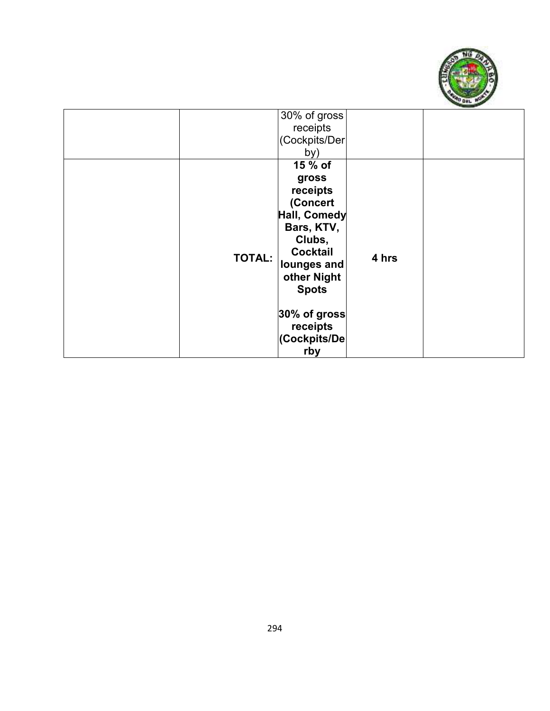

|               | 30% of gross<br>receipts<br>(Cockpits/Der<br>by)                                                                                                                                                     |       |  |
|---------------|------------------------------------------------------------------------------------------------------------------------------------------------------------------------------------------------------|-------|--|
| <b>TOTAL:</b> | 15 % of<br>gross<br>receipts<br>(Concert<br>Hall, Comedy<br>Bars, KTV,<br>Clubs,<br><b>Cocktail</b><br>lounges and<br>other Night<br><b>Spots</b><br>30% of gross<br>receipts<br>(Cockpits/De<br>rby | 4 hrs |  |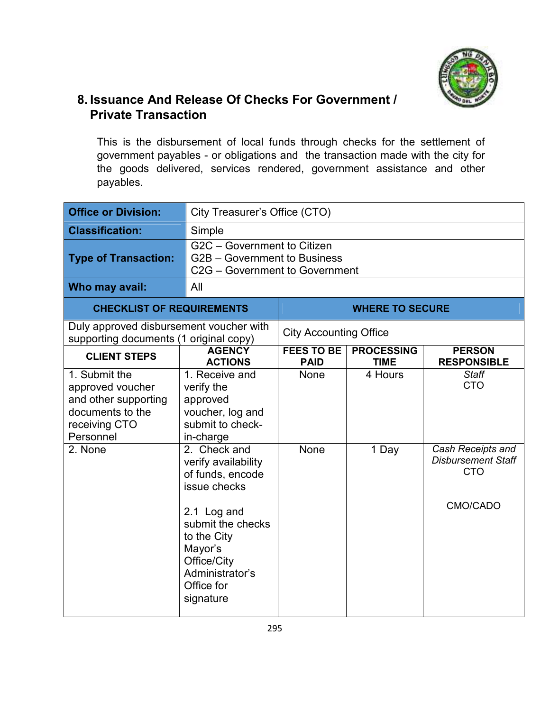

#### **8. Issuance And Release Of Checks For Government / Private Transaction**

This is the disbursement of local funds through checks for the settlement of government payables - or obligations and the transaction made with the city for the goods delivered, services rendered, government assistance and other payables.

| <b>Office or Division:</b>                                                                                  |                                                                                                                                                                                                    | City Treasurer's Office (CTO)    |                                  |                                                                          |  |
|-------------------------------------------------------------------------------------------------------------|----------------------------------------------------------------------------------------------------------------------------------------------------------------------------------------------------|----------------------------------|----------------------------------|--------------------------------------------------------------------------|--|
| <b>Classification:</b>                                                                                      | Simple                                                                                                                                                                                             |                                  |                                  |                                                                          |  |
| <b>Type of Transaction:</b>                                                                                 | $\overline{G2C}$ – Government to Citizen<br>G2B - Government to Business<br>C2G - Government to Government                                                                                         |                                  |                                  |                                                                          |  |
| Who may avail:                                                                                              | All                                                                                                                                                                                                |                                  |                                  |                                                                          |  |
| <b>CHECKLIST OF REQUIREMENTS</b>                                                                            |                                                                                                                                                                                                    |                                  | <b>WHERE TO SECURE</b>           |                                                                          |  |
| Duly approved disbursement voucher with<br>supporting documents (1 original copy)                           |                                                                                                                                                                                                    | <b>City Accounting Office</b>    |                                  |                                                                          |  |
| <b>CLIENT STEPS</b>                                                                                         | <b>AGENCY</b><br><b>ACTIONS</b>                                                                                                                                                                    | <b>FEES TO BE</b><br><b>PAID</b> | <b>PROCESSING</b><br><b>TIME</b> | <b>PERSON</b><br><b>RESPONSIBLE</b>                                      |  |
| 1. Submit the<br>approved voucher<br>and other supporting<br>documents to the<br>receiving CTO<br>Personnel | 1. Receive and<br>verify the<br>approved<br>voucher, log and<br>submit to check-<br>in-charge                                                                                                      | None                             | 4 Hours                          | <b>Staff</b><br><b>CTO</b>                                               |  |
| 2. None                                                                                                     | 2. Check and<br>verify availability<br>of funds, encode<br>issue checks<br>2.1 Log and<br>submit the checks<br>to the City<br>Mayor's<br>Office/City<br>Administrator's<br>Office for<br>signature | None                             | 1 Day                            | Cash Receipts and<br><b>Disbursement Staff</b><br><b>CTO</b><br>CMO/CADO |  |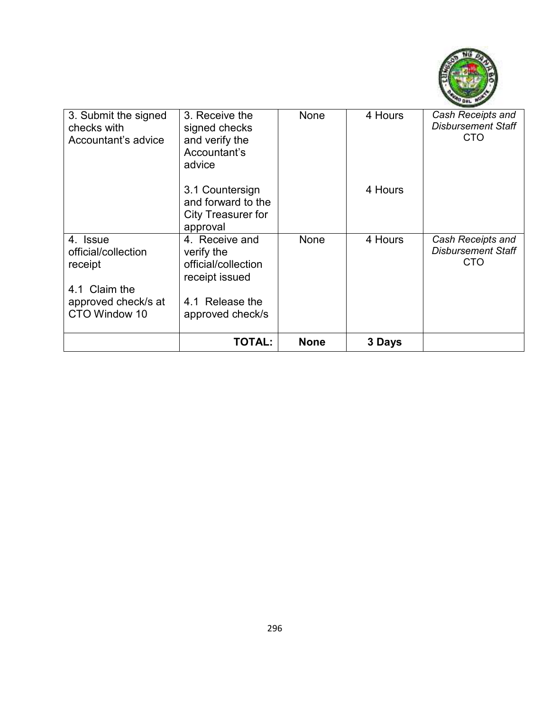

| 3. Submit the signed<br>checks with<br>Accountant's advice  | 3. Receive the<br>signed checks<br>and verify the<br>Accountant's<br>advice              | None        | 4 Hours | Cash Receipts and<br><b>Disbursement Staff</b><br><b>CTO</b> |
|-------------------------------------------------------------|------------------------------------------------------------------------------------------|-------------|---------|--------------------------------------------------------------|
|                                                             | 3.1 Countersign<br>and forward to the<br><b>City Treasurer for</b><br>approval           |             | 4 Hours |                                                              |
| 4. Issue<br>official/collection<br>receipt<br>4.1 Claim the | 4. Receive and<br>verify the<br>official/collection<br>receipt issued<br>4.1 Release the | None        | 4 Hours | Cash Receipts and<br><b>Disbursement Staff</b><br><b>CTO</b> |
| approved check/s at<br>CTO Window 10                        | approved check/s                                                                         |             |         |                                                              |
|                                                             | <b>TOTAL:</b>                                                                            | <b>None</b> | 3 Days  |                                                              |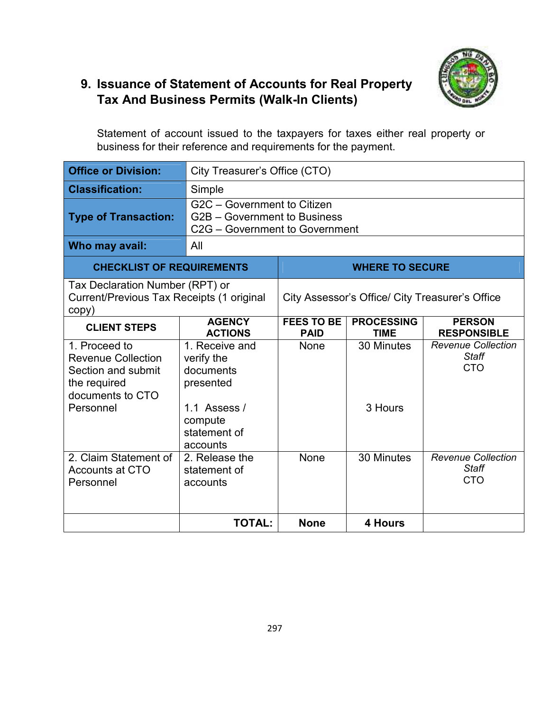

#### **9. Issuance of Statement of Accounts for Real Property Tax And Business Permits (Walk-In Clients)**

Statement of account issued to the taxpayers for taxes either real property or business for their reference and requirements for the payment.

| <b>Office or Division:</b>                                                                                        | City Treasurer's Office (CTO)                                                                              |                                                 |                                  |                                                         |  |
|-------------------------------------------------------------------------------------------------------------------|------------------------------------------------------------------------------------------------------------|-------------------------------------------------|----------------------------------|---------------------------------------------------------|--|
| <b>Classification:</b>                                                                                            | Simple                                                                                                     |                                                 |                                  |                                                         |  |
| <b>Type of Transaction:</b>                                                                                       | G2C - Government to Citizen<br>G2B - Government to Business<br>C <sub>2</sub> G – Government to Government |                                                 |                                  |                                                         |  |
| Who may avail:                                                                                                    | All                                                                                                        |                                                 |                                  |                                                         |  |
| <b>CHECKLIST OF REQUIREMENTS</b>                                                                                  |                                                                                                            | <b>WHERE TO SECURE</b>                          |                                  |                                                         |  |
| Tax Declaration Number (RPT) or<br>Current/Previous Tax Receipts (1 original<br>copy)                             |                                                                                                            | City Assessor's Office/ City Treasurer's Office |                                  |                                                         |  |
| <b>CLIENT STEPS</b>                                                                                               | <b>AGENCY</b><br><b>ACTIONS</b>                                                                            | <b>FEES TO BE</b><br><b>PAID</b>                | <b>PROCESSING</b><br><b>TIME</b> | <b>PERSON</b><br><b>RESPONSIBLE</b>                     |  |
| 1. Proceed to<br><b>Revenue Collection</b><br>Section and submit<br>the required<br>documents to CTO<br>Personnel | 1. Receive and<br>verify the<br>documents<br>presented<br>1.1 Assess /<br>compute                          | None                                            | 30 Minutes<br>3 Hours            | <b>Revenue Collection</b><br><b>Staff</b><br><b>CTO</b> |  |
|                                                                                                                   | statement of<br>accounts                                                                                   |                                                 |                                  |                                                         |  |
| 2. Claim Statement of<br><b>Accounts at CTO</b><br>Personnel                                                      | 2. Release the<br>statement of<br>accounts                                                                 | None                                            | 30 Minutes                       | <b>Revenue Collection</b><br><b>Staff</b><br><b>CTO</b> |  |
|                                                                                                                   | <b>TOTAL:</b>                                                                                              | <b>None</b>                                     | 4 Hours                          |                                                         |  |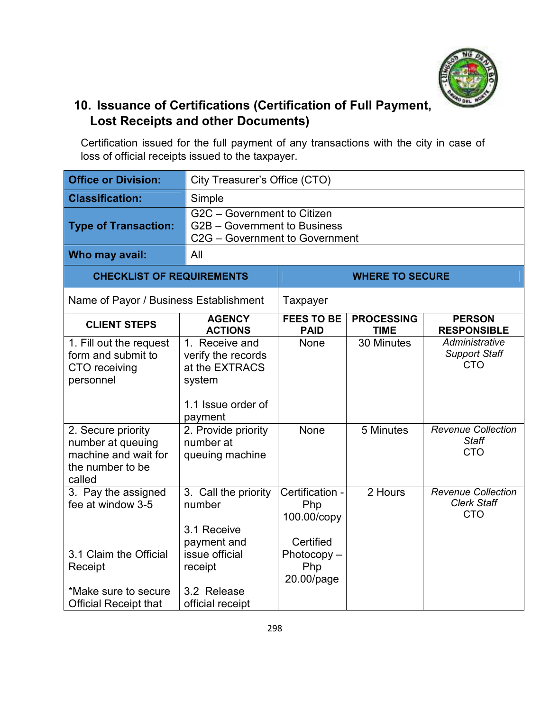

#### **10. Issuance of Certifications (Certification of Full Payment, Lost Receipts and other Documents)**

Certification issued for the full payment of any transactions with the city in case of loss of official receipts issued to the taxpayer.

| <b>Office or Division:</b>                                                                    |                                                                                                   | City Treasurer's Office (CTO)                      |                                  |                                                               |  |
|-----------------------------------------------------------------------------------------------|---------------------------------------------------------------------------------------------------|----------------------------------------------------|----------------------------------|---------------------------------------------------------------|--|
| <b>Classification:</b>                                                                        | Simple                                                                                            |                                                    |                                  |                                                               |  |
| <b>Type of Transaction:</b>                                                                   | G2C - Government to Citizen<br>G2B - Government to Business<br>C2G - Government to Government     |                                                    |                                  |                                                               |  |
| Who may avail:                                                                                | All                                                                                               |                                                    |                                  |                                                               |  |
| <b>CHECKLIST OF REQUIREMENTS</b>                                                              |                                                                                                   |                                                    | <b>WHERE TO SECURE</b>           |                                                               |  |
| Name of Payor / Business Establishment                                                        |                                                                                                   | Taxpayer                                           |                                  |                                                               |  |
| <b>CLIENT STEPS</b>                                                                           | <b>AGENCY</b><br><b>ACTIONS</b>                                                                   | <b>FEES TO BE</b><br><b>PAID</b>                   | <b>PROCESSING</b><br><b>TIME</b> | <b>PERSON</b><br><b>RESPONSIBLE</b>                           |  |
| 1. Fill out the request<br>form and submit to<br>CTO receiving<br>personnel                   | 1. Receive and<br>verify the records<br>at the EXTRACS<br>system<br>1.1 Issue order of<br>payment | None                                               | 30 Minutes                       | Administrative<br><b>Support Staff</b><br><b>CTO</b>          |  |
| 2. Secure priority<br>number at queuing<br>machine and wait for<br>the number to be<br>called | 2. Provide priority<br>number at<br>queuing machine                                               | None                                               | 5 Minutes                        | <b>Revenue Collection</b><br><b>Staff</b><br><b>CTO</b>       |  |
| 3. Pay the assigned<br>fee at window 3-5                                                      | 3. Call the priority<br>number<br>3.1 Receive<br>payment and                                      | Certification -<br>Php<br>100.00/copy<br>Certified | 2 Hours                          | <b>Revenue Collection</b><br><b>Clerk Staff</b><br><b>CTO</b> |  |
| 3.1 Claim the Official<br>Receipt                                                             | issue official<br>receipt                                                                         | $Photocopy -$<br>Php<br>20.00/page                 |                                  |                                                               |  |
| *Make sure to secure<br><b>Official Receipt that</b>                                          | 3.2 Release<br>official receipt                                                                   |                                                    |                                  |                                                               |  |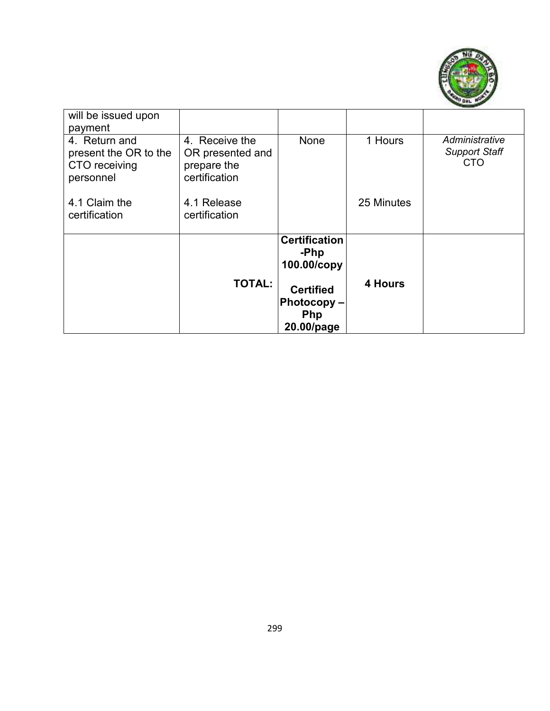

| will be issued upon<br>payment                                       |                                                                    |                                                     |            |                                               |
|----------------------------------------------------------------------|--------------------------------------------------------------------|-----------------------------------------------------|------------|-----------------------------------------------|
| 4. Return and<br>present the OR to the<br>CTO receiving<br>personnel | 4. Receive the<br>OR presented and<br>prepare the<br>certification | None                                                | 1 Hours    | Administrative<br><b>Support Staff</b><br>CTO |
| 4.1 Claim the<br>certification                                       | 4.1 Release<br>certification                                       |                                                     | 25 Minutes |                                               |
|                                                                      |                                                                    | <b>Certification</b><br>-Php<br>100.00/copy         |            |                                               |
|                                                                      | <b>TOTAL:</b>                                                      | <b>Certified</b><br>Photocopy-<br>Php<br>20.00/page | 4 Hours    |                                               |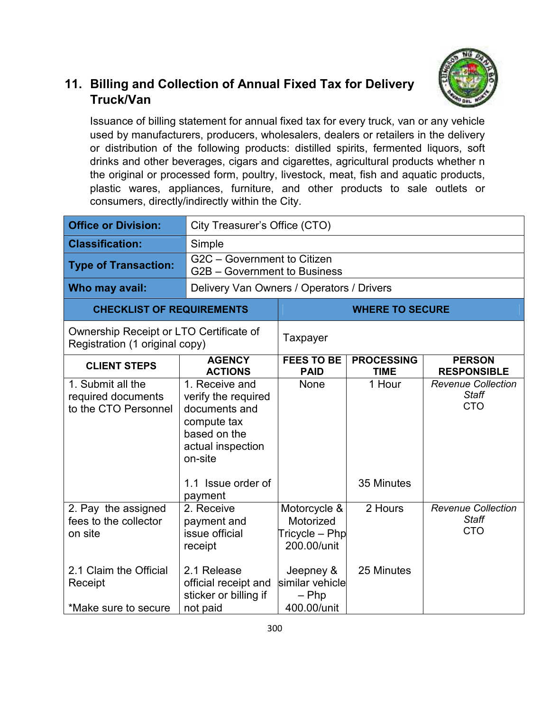

#### **11. Billing and Collection of Annual Fixed Tax for Delivery Truck/Van**

Issuance of billing statement for annual fixed tax for every truck, van or any vehicle used by manufacturers, producers, wholesalers, dealers or retailers in the delivery or distribution of the following products: distilled spirits, fermented liquors, soft drinks and other beverages, cigars and cigarettes, agricultural products whether n the original or processed form, poultry, livestock, meat, fish and aquatic products, plastic wares, appliances, furniture, and other products to sale outlets or consumers, directly/indirectly within the City.

| <b>Office or Division:</b>                                                                                           | City Treasurer's Office (CTO)                                                                                                                          |                                                                                                                         |                                  |                                                         |  |
|----------------------------------------------------------------------------------------------------------------------|--------------------------------------------------------------------------------------------------------------------------------------------------------|-------------------------------------------------------------------------------------------------------------------------|----------------------------------|---------------------------------------------------------|--|
| <b>Classification:</b>                                                                                               | Simple                                                                                                                                                 |                                                                                                                         |                                  |                                                         |  |
| <b>Type of Transaction:</b>                                                                                          | G2C - Government to Citizen<br>G2B - Government to Business                                                                                            |                                                                                                                         |                                  |                                                         |  |
| Who may avail:                                                                                                       | Delivery Van Owners / Operators / Drivers                                                                                                              |                                                                                                                         |                                  |                                                         |  |
| <b>CHECKLIST OF REQUIREMENTS</b>                                                                                     |                                                                                                                                                        |                                                                                                                         | <b>WHERE TO SECURE</b>           |                                                         |  |
|                                                                                                                      | Ownership Receipt or LTO Certificate of<br>Registration (1 original copy)                                                                              |                                                                                                                         |                                  |                                                         |  |
| <b>CLIENT STEPS</b>                                                                                                  | <b>AGENCY</b><br><b>ACTIONS</b>                                                                                                                        | <b>FEES TO BE</b><br><b>PAID</b>                                                                                        | <b>PROCESSING</b><br><b>TIME</b> | <b>PERSON</b><br><b>RESPONSIBLE</b>                     |  |
| 1. Submit all the<br>required documents<br>to the CTO Personnel                                                      | 1. Receive and<br>verify the required<br>documents and<br>compute tax<br>based on the<br>actual inspection<br>on-site<br>1.1 Issue order of<br>payment | None                                                                                                                    | 1 Hour<br>35 Minutes             | <b>Revenue Collection</b><br><b>Staff</b><br><b>CTO</b> |  |
| 2. Pay the assigned<br>fees to the collector<br>on site<br>2.1 Claim the Official<br>Receipt<br>*Make sure to secure | 2. Receive<br>payment and<br>issue official<br>receipt<br>2.1 Release<br>official receipt and<br>sticker or billing if<br>not paid                     | Motorcycle &<br>Motorized<br>$T$ ricycle – Php<br>200.00/unit<br>Jeepney &<br>similar vehicle<br>$-$ Php<br>400.00/unit | 2 Hours<br>25 Minutes            | <b>Revenue Collection</b><br><b>Staff</b><br><b>CTO</b> |  |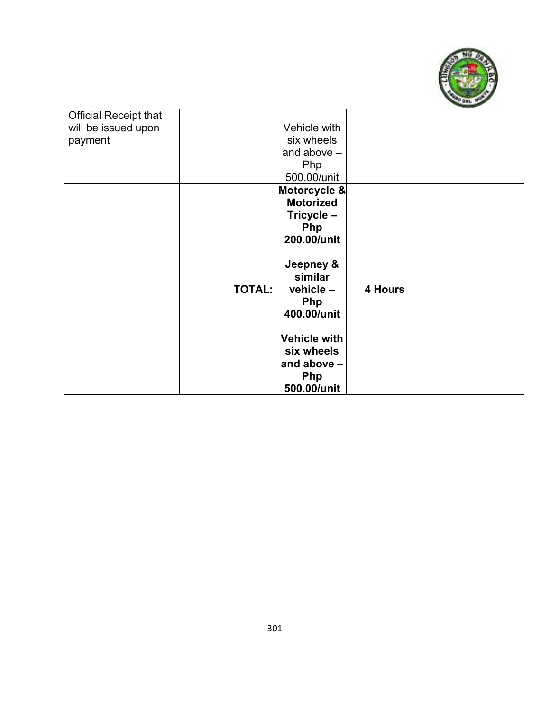

| <b>Official Receipt that</b> |               |                     |         |  |
|------------------------------|---------------|---------------------|---------|--|
| will be issued upon          |               | Vehicle with        |         |  |
| payment                      |               | six wheels          |         |  |
|                              |               | and above $-$       |         |  |
|                              |               | Php                 |         |  |
|                              |               | 500.00/unit         |         |  |
|                              |               | Motorcycle &        |         |  |
|                              |               | <b>Motorized</b>    |         |  |
|                              |               | Tricycle -          |         |  |
|                              |               | <b>Php</b>          |         |  |
|                              |               | 200.00/unit         |         |  |
|                              |               |                     |         |  |
|                              |               | Jeepney &           |         |  |
|                              |               | similar             |         |  |
|                              | <b>TOTAL:</b> | $v$ ehicle $-$      | 4 Hours |  |
|                              |               | <b>Php</b>          |         |  |
|                              |               | 400.00/unit         |         |  |
|                              |               |                     |         |  |
|                              |               | <b>Vehicle with</b> |         |  |
|                              |               | six wheels          |         |  |
|                              |               | and above $-$       |         |  |
|                              |               | <b>Php</b>          |         |  |
|                              |               | 500.00/unit         |         |  |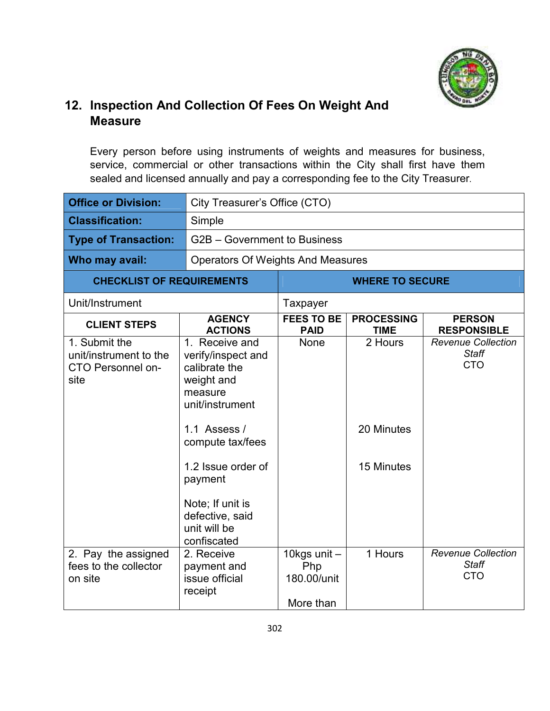

#### **12. Inspection And Collection Of Fees On Weight And Measure**

Every person before using instruments of weights and measures for business, service, commercial or other transactions within the City shall first have them sealed and licensed annually and pay a corresponding fee to the City Treasurer.

| <b>Office or Division:</b>                                                  |                                                                                                                                                                                                                                              | City Treasurer's Office (CTO)                   |                                     |                                                         |  |
|-----------------------------------------------------------------------------|----------------------------------------------------------------------------------------------------------------------------------------------------------------------------------------------------------------------------------------------|-------------------------------------------------|-------------------------------------|---------------------------------------------------------|--|
| <b>Classification:</b>                                                      | Simple                                                                                                                                                                                                                                       |                                                 |                                     |                                                         |  |
| <b>Type of Transaction:</b>                                                 |                                                                                                                                                                                                                                              | G2B - Government to Business                    |                                     |                                                         |  |
| Who may avail:                                                              | <b>Operators Of Weights And Measures</b>                                                                                                                                                                                                     |                                                 |                                     |                                                         |  |
| <b>CHECKLIST OF REQUIREMENTS</b>                                            |                                                                                                                                                                                                                                              | <b>WHERE TO SECURE</b>                          |                                     |                                                         |  |
| Unit/Instrument                                                             |                                                                                                                                                                                                                                              | Taxpayer                                        |                                     |                                                         |  |
| <b>CLIENT STEPS</b>                                                         | <b>AGENCY</b><br><b>ACTIONS</b>                                                                                                                                                                                                              | <b>FEES TO BE</b><br><b>PAID</b>                | <b>PROCESSING</b><br><b>TIME</b>    | <b>PERSON</b><br><b>RESPONSIBLE</b>                     |  |
| 1. Submit the<br>unit/instrument to the<br><b>CTO Personnel on-</b><br>site | 1. Receive and<br>verify/inspect and<br>calibrate the<br>weight and<br>measure<br>unit/instrument<br>1.1 Assess /<br>compute tax/fees<br>1.2 Issue order of<br>payment<br>Note; If unit is<br>defective, said<br>unit will be<br>confiscated | None                                            | 2 Hours<br>20 Minutes<br>15 Minutes | <b>Revenue Collection</b><br><b>Staff</b><br><b>CTO</b> |  |
| 2. Pay the assigned<br>fees to the collector<br>on site                     | 2. Receive<br>payment and<br>issue official<br>receipt                                                                                                                                                                                       | 10kgs unit -<br>Php<br>180.00/unit<br>More than | 1 Hours                             | <b>Revenue Collection</b><br><b>Staff</b><br><b>CTO</b> |  |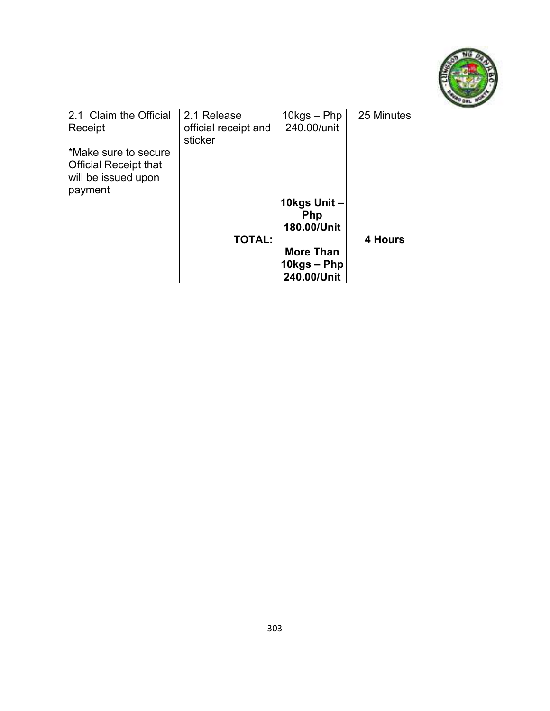

| 2.1 Claim the Official<br>Receipt                                                      | 2.1 Release<br>official receipt and<br>sticker | 10kgs – Php<br>240.00/unit                 | 25 Minutes |  |
|----------------------------------------------------------------------------------------|------------------------------------------------|--------------------------------------------|------------|--|
| *Make sure to secure<br><b>Official Receipt that</b><br>will be issued upon<br>payment |                                                |                                            |            |  |
|                                                                                        | <b>TOTAL:</b>                                  | 10kgs Unit-<br><b>Php</b><br>180.00/Unit   | 4 Hours    |  |
|                                                                                        |                                                | More Than<br>$10$ kgs – Php<br>240.00/Unit |            |  |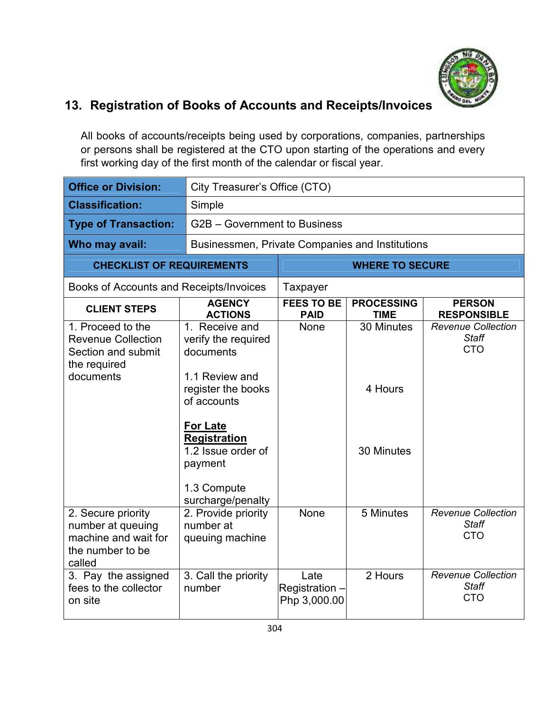

# **13. Registration of Books of Accounts and Receipts/Invoices**

All books of accounts/receipts being used by corporations, companies, partnerships or persons shall be registered at the CTO upon starting of the operations and every first working day of the first month of the calendar or fiscal year.

| <b>Office or Division:</b>                                                                        |                                                                                                                                                                                                                   | City Treasurer's Office (CTO)          |                                     |                                                         |
|---------------------------------------------------------------------------------------------------|-------------------------------------------------------------------------------------------------------------------------------------------------------------------------------------------------------------------|----------------------------------------|-------------------------------------|---------------------------------------------------------|
| <b>Classification:</b>                                                                            | Simple                                                                                                                                                                                                            |                                        |                                     |                                                         |
| <b>Type of Transaction:</b>                                                                       |                                                                                                                                                                                                                   | G2B - Government to Business           |                                     |                                                         |
| Who may avail:                                                                                    | Businessmen, Private Companies and Institutions                                                                                                                                                                   |                                        |                                     |                                                         |
| <b>CHECKLIST OF REQUIREMENTS</b>                                                                  |                                                                                                                                                                                                                   |                                        | <b>WHERE TO SECURE</b>              |                                                         |
| Books of Accounts and Receipts/Invoices                                                           |                                                                                                                                                                                                                   | Taxpayer                               |                                     |                                                         |
| <b>CLIENT STEPS</b>                                                                               | <b>AGENCY</b><br><b>ACTIONS</b>                                                                                                                                                                                   | <b>FEES TO BE</b><br><b>PAID</b>       | <b>PROCESSING</b><br><b>TIME</b>    | <b>PERSON</b><br><b>RESPONSIBLE</b>                     |
| 1. Proceed to the<br><b>Revenue Collection</b><br>Section and submit<br>the required<br>documents | 1. Receive and<br>verify the required<br>documents<br>1.1 Review and<br>register the books<br>of accounts<br>For Late<br><b>Registration</b><br>1.2 Issue order of<br>payment<br>1.3 Compute<br>surcharge/penalty | None                                   | 30 Minutes<br>4 Hours<br>30 Minutes | <b>Revenue Collection</b><br><b>Staff</b><br><b>CTO</b> |
| 2. Secure priority<br>number at queuing<br>machine and wait for<br>the number to be<br>called     | 2. Provide priority<br>number at<br>queuing machine                                                                                                                                                               | None                                   | 5 Minutes                           | <b>Revenue Collection</b><br><b>Staff</b><br><b>CTO</b> |
| 3. Pay the assigned<br>fees to the collector<br>on site                                           | 3. Call the priority<br>number                                                                                                                                                                                    | Late<br>Registration -<br>Php 3,000.00 | 2 Hours                             | <b>Revenue Collection</b><br><b>Staff</b><br><b>CTO</b> |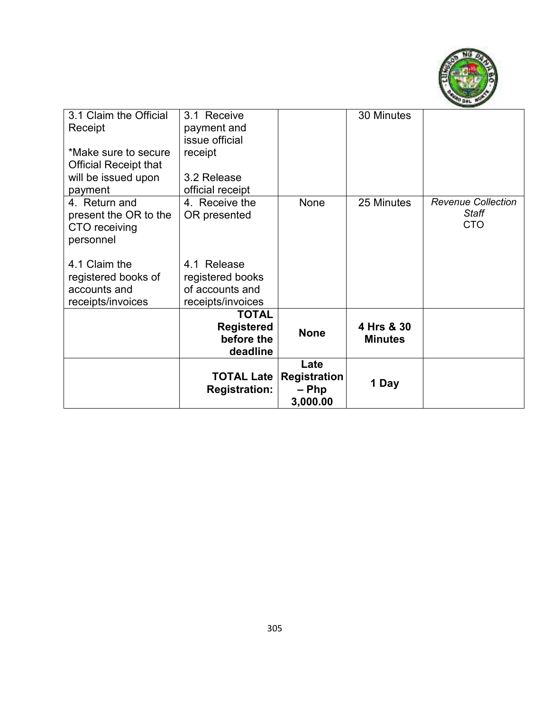

| 3.1 Claim the Official<br>Receipt<br>*Make sure to secure                 | 3.1 Receive<br>payment and<br>issue official<br>receipt                 |                                                  | 30 Minutes                   |                                                  |
|---------------------------------------------------------------------------|-------------------------------------------------------------------------|--------------------------------------------------|------------------------------|--------------------------------------------------|
| <b>Official Receipt that</b><br>will be issued upon<br>payment            | 3.2 Release<br>official receipt                                         |                                                  |                              |                                                  |
| 4. Return and<br>present the OR to the<br>CTO receiving<br>personnel      | 4. Receive the<br>OR presented                                          | None                                             | 25 Minutes                   | <b>Revenue Collection</b><br>Staff<br><b>CTO</b> |
| 4.1 Claim the<br>registered books of<br>accounts and<br>receipts/invoices | 4.1 Release<br>registered books<br>of accounts and<br>receipts/invoices |                                                  |                              |                                                  |
|                                                                           | <b>TOTAL</b><br><b>Registered</b><br>before the<br>deadline             | <b>None</b>                                      | 4 Hrs & 30<br><b>Minutes</b> |                                                  |
|                                                                           | <b>TOTAL Late</b><br><b>Registration:</b>                               | Late<br><b>Registration</b><br>– Php<br>3,000.00 | 1 Day                        |                                                  |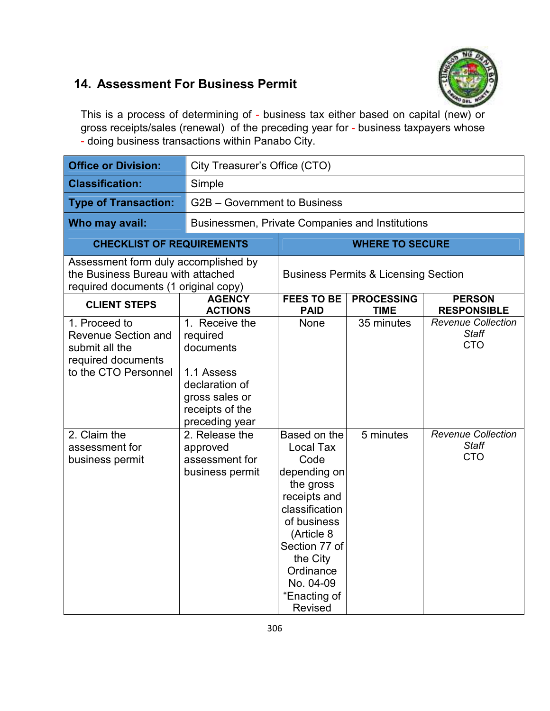#### **14. Assessment For Business Permit**



This is a process of determining of - business tax either based on capital (new) or gross receipts/sales (renewal) of the preceding year for - business taxpayers whose - doing business transactions within Panabo City.

| <b>Office or Division:</b>                                                                                        |                                                                                                                                | City Treasurer's Office (CTO)                                                                                                                                                                                          |                                                 |                                                         |
|-------------------------------------------------------------------------------------------------------------------|--------------------------------------------------------------------------------------------------------------------------------|------------------------------------------------------------------------------------------------------------------------------------------------------------------------------------------------------------------------|-------------------------------------------------|---------------------------------------------------------|
| <b>Classification:</b>                                                                                            | Simple                                                                                                                         |                                                                                                                                                                                                                        |                                                 |                                                         |
| <b>Type of Transaction:</b>                                                                                       |                                                                                                                                | G2B - Government to Business                                                                                                                                                                                           |                                                 |                                                         |
| Who may avail:                                                                                                    | Businessmen, Private Companies and Institutions                                                                                |                                                                                                                                                                                                                        |                                                 |                                                         |
| <b>CHECKLIST OF REQUIREMENTS</b>                                                                                  |                                                                                                                                |                                                                                                                                                                                                                        | <b>WHERE TO SECURE</b>                          |                                                         |
| Assessment form duly accomplished by<br>the Business Bureau with attached<br>required documents (1 original copy) |                                                                                                                                |                                                                                                                                                                                                                        | <b>Business Permits &amp; Licensing Section</b> |                                                         |
| <b>CLIENT STEPS</b>                                                                                               | <b>AGENCY</b><br><b>ACTIONS</b>                                                                                                | <b>FEES TO BE</b><br><b>PAID</b>                                                                                                                                                                                       | <b>PROCESSING</b><br><b>TIME</b>                | <b>PERSON</b><br><b>RESPONSIBLE</b>                     |
| 1. Proceed to<br><b>Revenue Section and</b><br>submit all the<br>required documents<br>to the CTO Personnel       | 1. Receive the<br>required<br>documents<br>1.1 Assess<br>declaration of<br>gross sales or<br>receipts of the<br>preceding year | None                                                                                                                                                                                                                   | 35 minutes                                      | <b>Revenue Collection</b><br><b>Staff</b><br><b>CTO</b> |
| 2. Claim the<br>assessment for<br>business permit                                                                 | 2. Release the<br>approved<br>assessment for<br>business permit                                                                | Based on the<br>Local Tax<br>Code<br>depending on<br>the gross<br>receipts and<br>classification<br>of business<br>(Article 8<br>Section 77 of<br>the City<br>Ordinance<br>No. 04-09<br>"Enacting of<br><b>Revised</b> | 5 minutes                                       | <b>Revenue Collection</b><br><b>Staff</b><br><b>CTO</b> |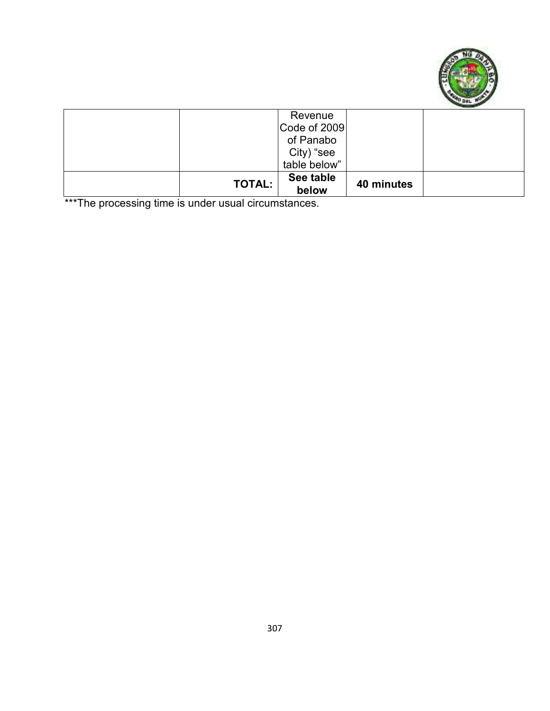

| <b>TOTAL:</b> | See table<br>below | 40 minutes |  |
|---------------|--------------------|------------|--|
|               | table below"       |            |  |
|               | City) "see         |            |  |
|               | of Panabo          |            |  |
|               | Code of 2009       |            |  |
|               | Revenue            |            |  |

\*\*\*The processing time is under usual circumstances.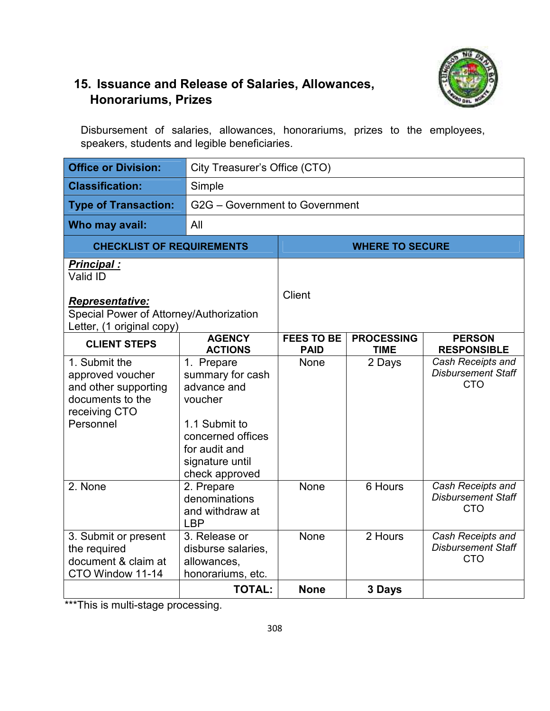

#### **15. Issuance and Release of Salaries, Allowances, Honorariums, Prizes**

Disbursement of salaries, allowances, honorariums, prizes to the employees, speakers, students and legible beneficiaries.

| <b>Office or Division:</b>                                                                                  | City Treasurer's Office (CTO)                                                                                                                        |                                  |                                  |                                                              |
|-------------------------------------------------------------------------------------------------------------|------------------------------------------------------------------------------------------------------------------------------------------------------|----------------------------------|----------------------------------|--------------------------------------------------------------|
| <b>Classification:</b>                                                                                      | Simple                                                                                                                                               |                                  |                                  |                                                              |
| <b>Type of Transaction:</b>                                                                                 |                                                                                                                                                      | G2G - Government to Government   |                                  |                                                              |
| Who may avail:                                                                                              | All                                                                                                                                                  |                                  |                                  |                                                              |
| <b>CHECKLIST OF REQUIREMENTS</b>                                                                            |                                                                                                                                                      |                                  | <b>WHERE TO SECURE</b>           |                                                              |
| <b>Principal:</b><br>Valid ID                                                                               |                                                                                                                                                      |                                  |                                  |                                                              |
| <b>Representative:</b><br>Special Power of Attorney/Authorization<br>Letter, (1 original copy)              |                                                                                                                                                      | <b>Client</b>                    |                                  |                                                              |
| <b>CLIENT STEPS</b>                                                                                         | <b>AGENCY</b><br><b>ACTIONS</b>                                                                                                                      | <b>FEES TO BE</b><br><b>PAID</b> | <b>PROCESSING</b><br><b>TIME</b> | <b>PERSON</b><br><b>RESPONSIBLE</b>                          |
| 1. Submit the<br>approved voucher<br>and other supporting<br>documents to the<br>receiving CTO<br>Personnel | 1. Prepare<br>summary for cash<br>advance and<br>voucher<br>1.1 Submit to<br>concerned offices<br>for audit and<br>signature until<br>check approved | <b>None</b>                      | 2 Days                           | Cash Receipts and<br><b>Disbursement Staff</b><br><b>CTO</b> |
| 2. None                                                                                                     | 2. Prepare<br>denominations<br>and withdraw at<br><b>LBP</b>                                                                                         | None                             | 6 Hours                          | Cash Receipts and<br><b>Disbursement Staff</b><br><b>CTO</b> |
| 3. Submit or present<br>the required<br>document & claim at<br>CTO Window 11-14                             | 3. Release or<br>disburse salaries.<br>allowances,<br>honorariums, etc.                                                                              | None                             | 2 Hours                          | Cash Receipts and<br><b>Disbursement Staff</b><br><b>CTO</b> |
|                                                                                                             | <b>TOTAL:</b>                                                                                                                                        | <b>None</b>                      | 3 Days                           |                                                              |

\*\*\*This is multi-stage processing.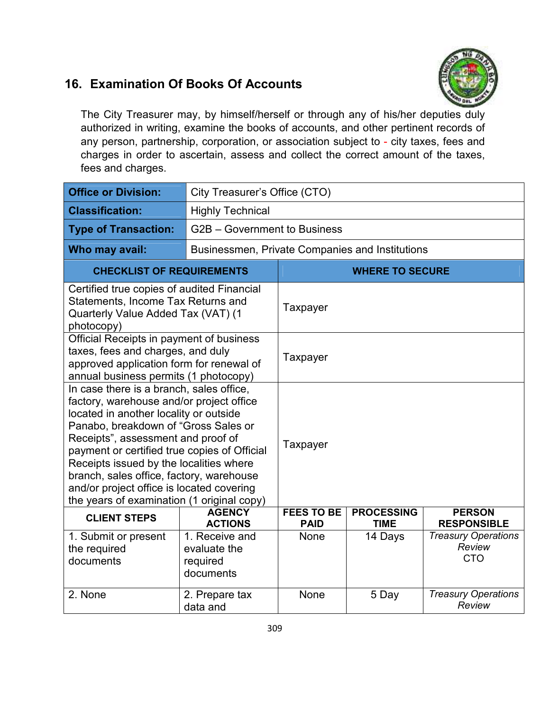#### **16. Examination Of Books Of Accounts**



The City Treasurer may, by himself/herself or through any of his/her deputies duly authorized in writing, examine the books of accounts, and other pertinent records of any person, partnership, corporation, or association subject to - city taxes, fees and charges in order to ascertain, assess and collect the correct amount of the taxes, fees and charges.

| <b>Office or Division:</b>                                                                                                                                                                                                                                                                                                                                                                                                                     | City Treasurer's Office (CTO)                           |                                  |                                  |                                                    |
|------------------------------------------------------------------------------------------------------------------------------------------------------------------------------------------------------------------------------------------------------------------------------------------------------------------------------------------------------------------------------------------------------------------------------------------------|---------------------------------------------------------|----------------------------------|----------------------------------|----------------------------------------------------|
| <b>Classification:</b>                                                                                                                                                                                                                                                                                                                                                                                                                         | <b>Highly Technical</b>                                 |                                  |                                  |                                                    |
| <b>Type of Transaction:</b>                                                                                                                                                                                                                                                                                                                                                                                                                    | G2B - Government to Business                            |                                  |                                  |                                                    |
| Who may avail:                                                                                                                                                                                                                                                                                                                                                                                                                                 | Businessmen, Private Companies and Institutions         |                                  |                                  |                                                    |
| <b>CHECKLIST OF REQUIREMENTS</b>                                                                                                                                                                                                                                                                                                                                                                                                               |                                                         |                                  | <b>WHERE TO SECURE</b>           |                                                    |
| Certified true copies of audited Financial<br>Statements, Income Tax Returns and<br>Quarterly Value Added Tax (VAT) (1<br>photocopy)                                                                                                                                                                                                                                                                                                           |                                                         | Taxpayer                         |                                  |                                                    |
| Official Receipts in payment of business<br>taxes, fees and charges, and duly<br>approved application form for renewal of<br>annual business permits (1 photocopy)                                                                                                                                                                                                                                                                             |                                                         | Taxpayer                         |                                  |                                                    |
| In case there is a branch, sales office,<br>factory, warehouse and/or project office<br>located in another locality or outside<br>Panabo, breakdown of "Gross Sales or<br>Receipts", assessment and proof of<br>payment or certified true copies of Official<br>Receipts issued by the localities where<br>branch, sales office, factory, warehouse<br>and/or project office is located covering<br>the years of examination (1 original copy) |                                                         | Taxpayer                         |                                  |                                                    |
| <b>CLIENT STEPS</b>                                                                                                                                                                                                                                                                                                                                                                                                                            | <b>AGENCY</b><br><b>ACTIONS</b>                         | <b>FEES TO BE</b><br><b>PAID</b> | <b>PROCESSING</b><br><b>TIME</b> | <b>PERSON</b><br><b>RESPONSIBLE</b>                |
| 1. Submit or present<br>the required<br>documents                                                                                                                                                                                                                                                                                                                                                                                              | 1. Receive and<br>evaluate the<br>required<br>documents | None                             | 14 Days                          | <b>Treasury Operations</b><br>Review<br><b>CTO</b> |
| 2. None                                                                                                                                                                                                                                                                                                                                                                                                                                        | 2. Prepare tax<br>data and                              | None                             | 5 Day                            | <b>Treasury Operations</b><br>Review               |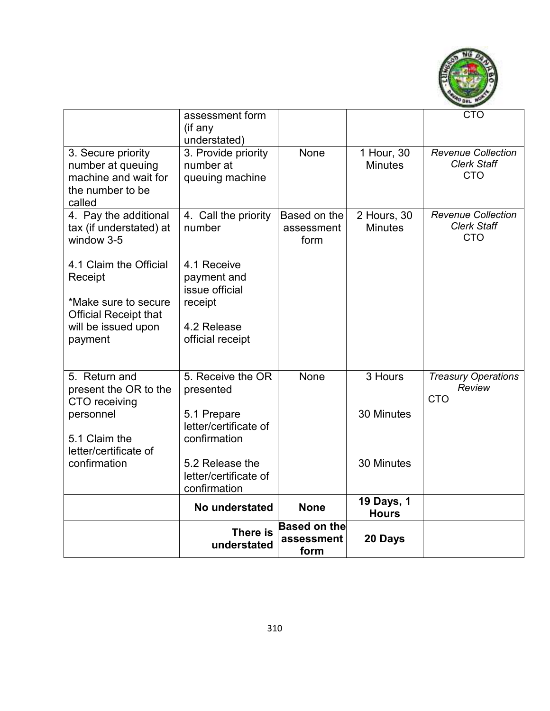

|                                                                                               | assessment form<br>(if any<br>understated)           |                                           |                               | <b>CTO</b>                                                    |
|-----------------------------------------------------------------------------------------------|------------------------------------------------------|-------------------------------------------|-------------------------------|---------------------------------------------------------------|
| 3. Secure priority<br>number at queuing<br>machine and wait for<br>the number to be<br>called | 3. Provide priority<br>number at<br>queuing machine  | None                                      | 1 Hour, 30<br><b>Minutes</b>  | <b>Revenue Collection</b><br><b>Clerk Staff</b><br><b>CTO</b> |
| 4. Pay the additional<br>tax (if understated) at<br>window 3-5                                | 4. Call the priority<br>number                       | Based on the<br>assessment<br>form        | 2 Hours, 30<br><b>Minutes</b> | <b>Revenue Collection</b><br><b>Clerk Staff</b><br><b>CTO</b> |
| 4.1 Claim the Official<br>Receipt                                                             | 4.1 Receive<br>payment and<br>issue official         |                                           |                               |                                                               |
| *Make sure to secure<br><b>Official Receipt that</b>                                          | receipt                                              |                                           |                               |                                                               |
| will be issued upon<br>payment                                                                | 4.2 Release<br>official receipt                      |                                           |                               |                                                               |
| 5. Return and<br>present the OR to the<br>CTO receiving                                       | 5. Receive the OR<br>presented                       | None                                      | 3 Hours                       | <b>Treasury Operations</b><br>Review<br><b>CTO</b>            |
| personnel<br>5.1 Claim the                                                                    | 5.1 Prepare<br>letter/certificate of<br>confirmation |                                           | 30 Minutes                    |                                                               |
| letter/certificate of<br>confirmation                                                         | 5.2 Release the                                      |                                           | 30 Minutes                    |                                                               |
|                                                                                               | letter/certificate of<br>confirmation                |                                           |                               |                                                               |
|                                                                                               | No understated                                       | <b>None</b>                               | 19 Days, 1<br><b>Hours</b>    |                                                               |
|                                                                                               | There is<br>understated                              | <b>Based on the</b><br>assessment<br>form | 20 Days                       |                                                               |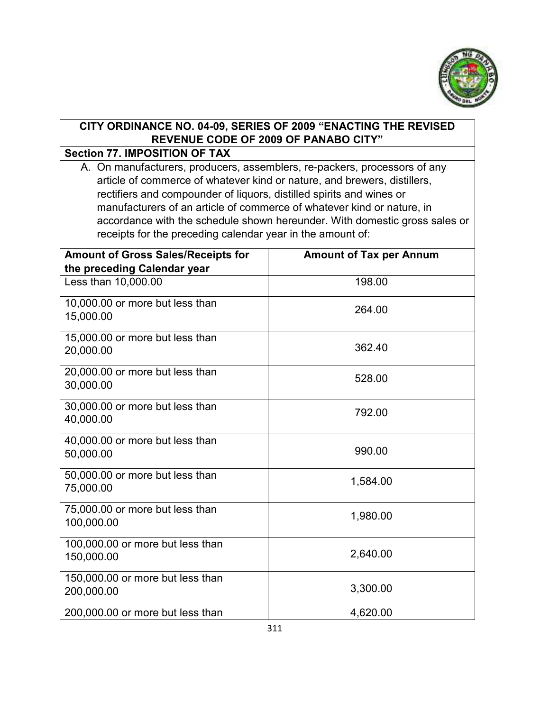

#### **CITY ORDINANCE NO. 04-09, SERIES OF 2009 "ENACTING THE REVISED REVENUE CODE OF 2009 OF PANABO CITY"**

#### **Section 77. IMPOSITION OF TAX**

A. On manufacturers, producers, assemblers, re-packers, processors of any article of commerce of whatever kind or nature, and brewers, distillers, rectifiers and compounder of liquors, distilled spirits and wines or manufacturers of an article of commerce of whatever kind or nature, in accordance with the schedule shown hereunder. With domestic gross sales or receipts for the preceding calendar year in the amount of:

| <b>Amount of Gross Sales/Receipts for</b><br>the preceding Calendar year | <b>Amount of Tax per Annum</b> |
|--------------------------------------------------------------------------|--------------------------------|
| Less than 10,000.00                                                      | 198.00                         |
| 10,000.00 or more but less than<br>15,000.00                             | 264.00                         |
| 15,000.00 or more but less than<br>20,000.00                             | 362.40                         |
| 20,000.00 or more but less than<br>30,000.00                             | 528.00                         |
| 30,000.00 or more but less than<br>40,000.00                             | 792.00                         |
| 40,000.00 or more but less than<br>50,000.00                             | 990.00                         |
| 50,000.00 or more but less than<br>75,000.00                             | 1,584.00                       |
| 75,000.00 or more but less than<br>100,000.00                            | 1,980.00                       |
| 100,000.00 or more but less than<br>150,000.00                           | 2,640.00                       |
| 150,000.00 or more but less than<br>200,000.00                           | 3,300.00                       |
| 200,000.00 or more but less than                                         | 4,620.00                       |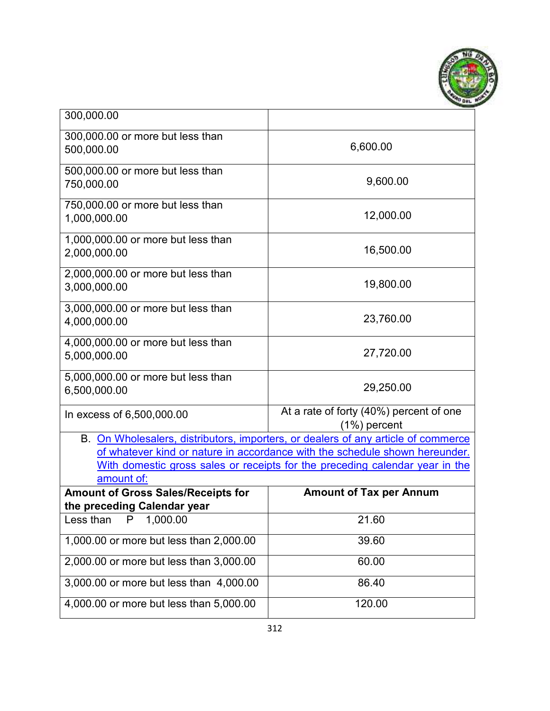

| 300,000.00                                         |                                                                                   |
|----------------------------------------------------|-----------------------------------------------------------------------------------|
| 300,000.00 or more but less than<br>500,000.00     | 6,600.00                                                                          |
| 500,000.00 or more but less than<br>750,000.00     | 9,600.00                                                                          |
| 750,000.00 or more but less than<br>1,000,000.00   | 12,000.00                                                                         |
| 1,000,000.00 or more but less than<br>2,000,000.00 | 16,500.00                                                                         |
| 2,000,000.00 or more but less than<br>3,000,000.00 | 19,800.00                                                                         |
| 3,000,000.00 or more but less than<br>4,000,000.00 | 23,760.00                                                                         |
| 4,000,000.00 or more but less than<br>5,000,000.00 | 27,720.00                                                                         |
| 5,000,000.00 or more but less than<br>6,500,000.00 | 29,250.00                                                                         |
| In excess of 6,500,000.00                          | At a rate of forty (40%) percent of one<br>$(1%)$ percent                         |
|                                                    | B. On Wholesalers, distributors, importers, or dealers of any article of commerce |
|                                                    | of whatever kind or nature in accordance with the schedule shown hereunder.       |
| amount of:                                         | With domestic gross sales or receipts for the preceding calendar year in the      |
| <b>Amount of Gross Sales/Receipts for</b>          | <b>Amount of Tax per Annum</b>                                                    |
| the preceding Calendar year                        |                                                                                   |
| 1,000.00<br>Less than<br>P                         | 21.60                                                                             |
| 1,000.00 or more but less than 2,000.00            | 39.60                                                                             |
| 2,000.00 or more but less than 3,000.00            | 60.00                                                                             |
| 3,000.00 or more but less than 4,000.00            | 86.40                                                                             |
| 4,000.00 or more but less than 5,000.00            | 120.00                                                                            |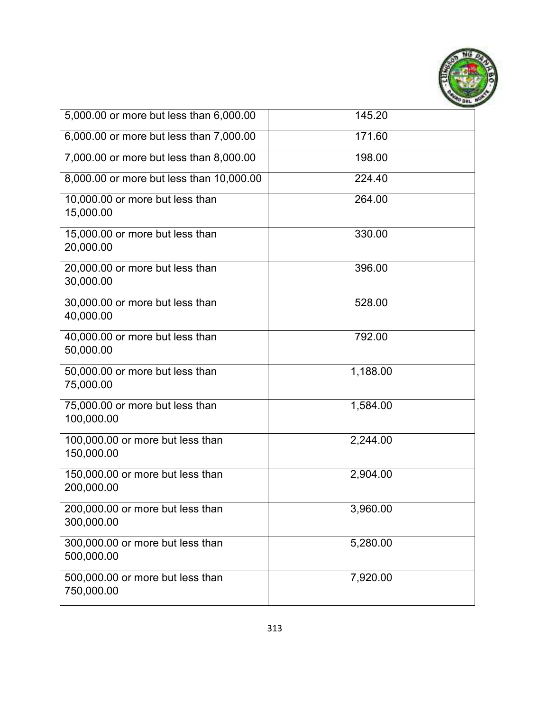

| 5,000.00 or more but less than 6,000.00        | 145.20   |
|------------------------------------------------|----------|
| 6,000.00 or more but less than 7,000.00        | 171.60   |
| 7,000.00 or more but less than 8,000.00        | 198.00   |
| 8,000.00 or more but less than 10,000.00       | 224.40   |
| 10,000.00 or more but less than<br>15,000.00   | 264.00   |
| 15,000.00 or more but less than<br>20,000.00   | 330.00   |
| 20,000.00 or more but less than<br>30,000.00   | 396.00   |
| 30,000.00 or more but less than<br>40,000.00   | 528.00   |
| 40,000.00 or more but less than<br>50,000.00   | 792.00   |
| 50,000.00 or more but less than<br>75,000.00   | 1,188.00 |
| 75,000.00 or more but less than<br>100,000.00  | 1,584.00 |
| 100,000.00 or more but less than<br>150,000.00 | 2,244.00 |
| 150,000.00 or more but less than<br>200,000.00 | 2,904.00 |
| 200,000.00 or more but less than<br>300,000.00 | 3,960.00 |
| 300,000.00 or more but less than<br>500,000.00 | 5,280.00 |
| 500,000.00 or more but less than<br>750,000.00 | 7,920.00 |